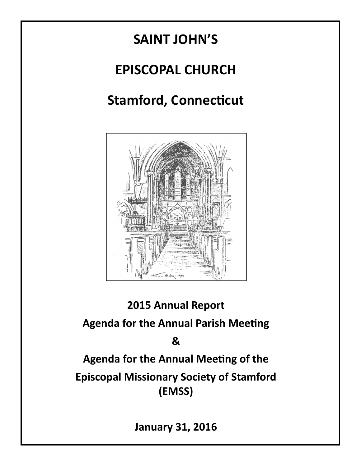# SAINT JOHN'S EPISCOPAL CHURCH Stamford, Connecticut  $-1341 - 1918$

# 2015 Annual Report

Agenda for the Annual Parish Meeting

# &

Agenda for the Annual Meeting of the Episcopal Missionary Society of Stamford (EMSS)

January 31, 2016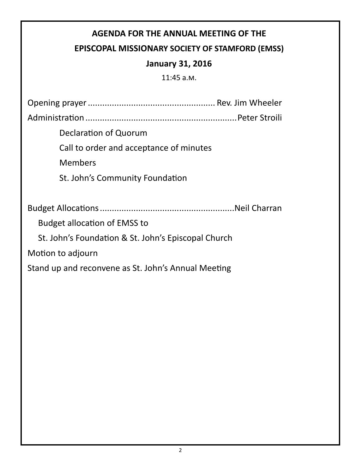# AGENDA FOR THE ANNUAL MEETING OF THE

# EPISCOPAL MISSIONARY SOCIETY OF STAMFORD (EMSS)

# January 31, 2016

11:45 a.m.

Opening prayer ..................................................... Rev. Jim Wheeler

Administraon ............................................................... Peter Stroili

Declaration of Quorum

Call to order and acceptance of minutes

Members

St. John's Community Foundation

Budget Allocaons ........................................................Neil Charran

Budget allocation of EMSS to

St. John's Foundation & St. John's Episcopal Church

Motion to adjourn

Stand up and reconvene as St. John's Annual Meeting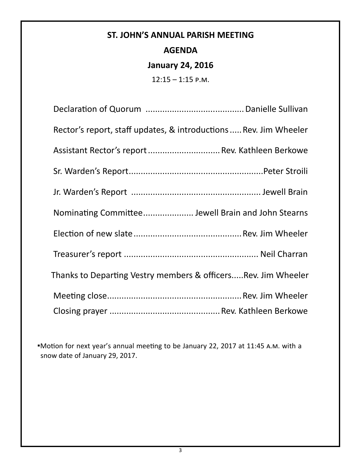# ST. JOHN'S ANNUAL PARISH MEETING AGENDA

# January 24, 2016

 $12:15 - 1:15$  P.M.

| Rector's report, staff updates, & introductions Rev. Jim Wheeler |
|------------------------------------------------------------------|
| Assistant Rector's report  Rev. Kathleen Berkowe                 |
|                                                                  |
|                                                                  |
| Nominating Committee Jewell Brain and John Stearns               |
|                                                                  |
|                                                                  |
| Thanks to Departing Vestry members & officersRev. Jim Wheeler    |
|                                                                  |
|                                                                  |

■Motion for next year's annual meeting to be January 22, 2017 at 11:45 A.M. with a snow date of January 29, 2017.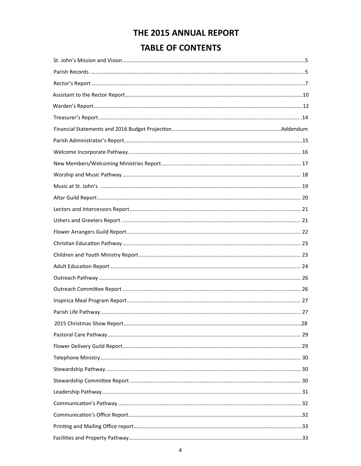# THE 2015 ANNUAL REPORT

# **TABLE OF CONTENTS**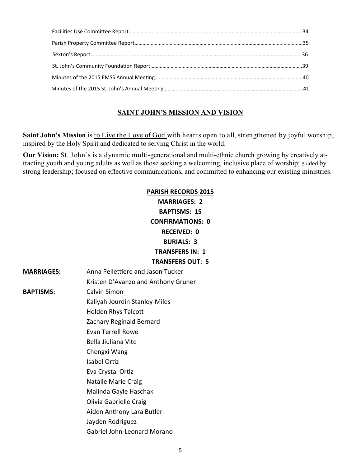#### SAINT JOHN'S MISSION AND VISION

Saint John's Mission is to Live the Love of God with hearts open to all, strengthened by joyful worship, inspired by the Holy Spirit and dedicated to serving Christ in the world.

Our Vision: St. John's is a dynamic multi-generational and multi-ethnic church growing by creatively attracting youth and young adults as well as those seeking a welcoming, inclusive place of worship; guided by strong leadership; focused on effective communications, and committed to enhancing our existing ministries.

# PARISH RECORDS 2015 MARRIAGES: 2 BAPTISMS: 15 CONFIRMATIONS: 0 RECEIVED: 0 BURIALS: 3 TRANSFERS IN: 1 TRANSFERS OUT: 5 MARRIAGES: Anna Pellettiere and Jason Tucker Kristen D'Avanzo and Anthony Gruner BAPTISMS: Calvin Simon Kaliyah Jourdin Stanley-Miles Holden Rhys Talcott Zachary Reginald Bernard Evan Terrell Rowe Bella Jiuliana Vite Chengxi Wang Isabel Ortiz Eva Crystal Ortiz Natalie Marie Craig Malinda Gayle Haschak Olivia Gabrielle Craig Aiden Anthony Lara Butler Jayden Rodriguez Gabriel John-Leonard Morano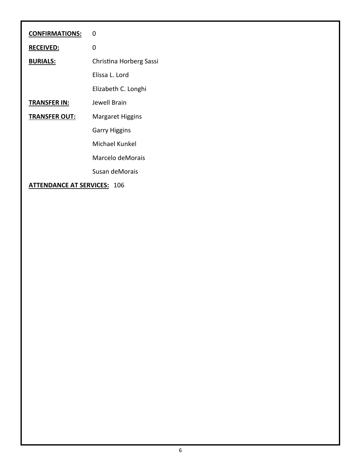| <b>CONFIRMATIONS:</b>              | $\mathbf 0$             |
|------------------------------------|-------------------------|
| <b>RECEIVED:</b>                   | 0                       |
| <b>BURIALS:</b>                    | Christina Horberg Sassi |
|                                    | Elissa L. Lord          |
|                                    | Elizabeth C. Longhi     |
| <b>TRANSFER IN:</b>                | Jewell Brain            |
| <b>TRANSFER OUT:</b>               | <b>Margaret Higgins</b> |
|                                    | <b>Garry Higgins</b>    |
|                                    | Michael Kunkel          |
|                                    | Marcelo deMorais        |
|                                    | Susan deMorais          |
| <b>ATTENDANCE AT SERVICES: 106</b> |                         |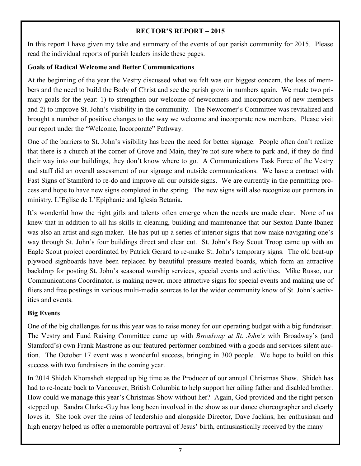#### RECTOR'S REPORT **–** 2015

In this report I have given my take and summary of the events of our parish community for 2015. Please read the individual reports of parish leaders inside these pages.

#### Goals of Radical Welcome and Better Communications

At the beginning of the year the Vestry discussed what we felt was our biggest concern, the loss of members and the need to build the Body of Christ and see the parish grow in numbers again. We made two primary goals for the year: 1) to strengthen our welcome of newcomers and incorporation of new members and 2) to improve St. John's visibility in the community. The Newcomer's Committee was revitalized and brought a number of positive changes to the way we welcome and incorporate new members. Please visit our report under the "Welcome, Incorporate" Pathway.

One of the barriers to St. John's visibility has been the need for better signage. People often don't realize that there is a church at the corner of Grove and Main, they're not sure where to park and, if they do find their way into our buildings, they don't know where to go. A Communications Task Force of the Vestry and staff did an overall assessment of our signage and outside communications. We have a contract with Fast Signs of Stamford to re-do and improve all our outside signs. We are currently in the permitting process and hope to have new signs completed in the spring. The new signs will also recognize our partners in ministry, L'Eglise de L'Epiphanie and Iglesia Betania.

It's wonderful how the right gifts and talents often emerge when the needs are made clear. None of us knew that in addition to all his skills in cleaning, building and maintenance that our Sexton Dante Ibanez was also an artist and sign maker. He has put up a series of interior signs that now make navigating one's way through St. John's four buildings direct and clear cut. St. John's Boy Scout Troop came up with an Eagle Scout project coordinated by Patrick Gerard to re-make St. John's temporary signs. The old beat-up plywood signboards have been replaced by beautiful pressure treated boards, which form an attractive backdrop for posting St. John's seasonal worship services, special events and activities. Mike Russo, our Communications Coordinator, is making newer, more attractive signs for special events and making use of fliers and free postings in various multi-media sources to let the wider community know of St. John's activities and events.

#### Big Events

One of the big challenges for us this year was to raise money for our operating budget with a big fundraiser. The Vestry and Fund Raising Committee came up with *Broadway at St. John's* with Broadway's (and Stamford's) own Frank Mastrone as our featured performer combined with a goods and services silent auction. The October 17 event was a wonderful success, bringing in 300 people. We hope to build on this success with two fundraisers in the coming year.

In 2014 Shideh Khorasheh stepped up big time as the Producer of our annual Christmas Show. Shideh has had to re-locate back to Vancouver, British Columbia to help support her ailing father and disabled brother. How could we manage this year's Christmas Show without her? Again, God provided and the right person stepped up. Sandra Clarke-Guy has long been involved in the show as our dance choreographer and clearly loves it. She took over the reins of leadership and alongside Director, Dave Jackins, her enthusiasm and high energy helped us offer a memorable portrayal of Jesus' birth, enthusiastically received by the many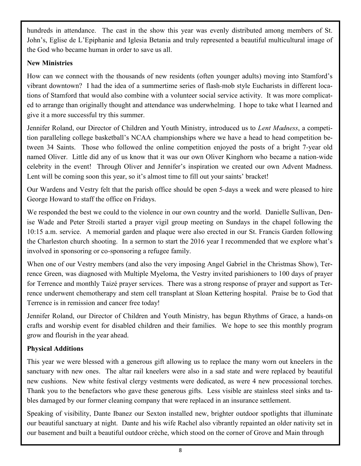hundreds in attendance. The cast in the show this year was evenly distributed among members of St. John's, Eglise de L'Epiphanie and Iglesia Betania and truly represented a beautiful multicultural image of the God who became human in order to save us all.

#### New Ministries

How can we connect with the thousands of new residents (often younger adults) moving into Stamford's vibrant downtown? I had the idea of a summertime series of flash-mob style Eucharists in different locations of Stamford that would also combine with a volunteer social service activity. It was more complicated to arrange than originally thought and attendance was underwhelming. I hope to take what I learned and give it a more successful try this summer.

Jennifer Roland, our Director of Children and Youth Ministry, introduced us to Lent Madness, a competition paralleling college basketball's NCAA championships where we have a head to head competition between 34 Saints. Those who followed the online competition enjoyed the posts of a bright 7-year old named Oliver. Little did any of us know that it was our own Oliver Kinghorn who became a nation-wide celebrity in the event! Through Oliver and Jennifer's inspiration we created our own Advent Madness. Lent will be coming soon this year, so it's almost time to fill out your saints' bracket!

Our Wardens and Vestry felt that the parish office should be open 5-days a week and were pleased to hire George Howard to staff the office on Fridays.

We responded the best we could to the violence in our own country and the world. Danielle Sullivan, Denise Wade and Peter Stroili started a prayer vigil group meeting on Sundays in the chapel following the 10:15 a.m. service. A memorial garden and plaque were also erected in our St. Francis Garden following the Charleston church shooting. In a sermon to start the 2016 year I recommended that we explore what's involved in sponsoring or co-sponsoring a refugee family.

When one of our Vestry members (and also the very imposing Angel Gabriel in the Christmas Show), Terrence Green, was diagnosed with Multiple Myeloma, the Vestry invited parishioners to 100 days of prayer for Terrence and monthly Taizé prayer services. There was a strong response of prayer and support as Terrence underwent chemotherapy and stem cell transplant at Sloan Kettering hospital. Praise be to God that Terrence is in remission and cancer free today!

Jennifer Roland, our Director of Children and Youth Ministry, has begun Rhythms of Grace, a hands-on crafts and worship event for disabled children and their families. We hope to see this monthly program grow and flourish in the year ahead.

#### Physical Additions

This year we were blessed with a generous gift allowing us to replace the many worn out kneelers in the sanctuary with new ones. The altar rail kneelers were also in a sad state and were replaced by beautiful new cushions. New white festival clergy vestments were dedicated, as were 4 new processional torches. Thank you to the benefactors who gave these generous gifts. Less visible are stainless steel sinks and tables damaged by our former cleaning company that were replaced in an insurance settlement.

Speaking of visibility, Dante Ibanez our Sexton installed new, brighter outdoor spotlights that illuminate our beautiful sanctuary at night. Dante and his wife Rachel also vibrantly repainted an older nativity set in our basement and built a beautiful outdoor crèche, which stood on the corner of Grove and Main through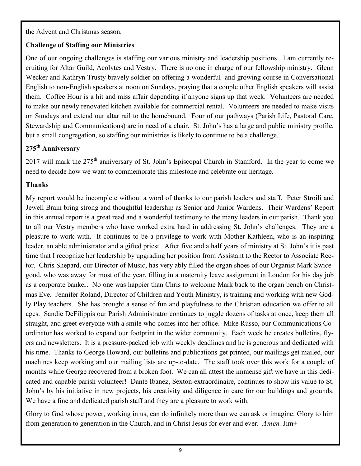the Advent and Christmas season.

#### Challenge of Staffing our Ministries

One of our ongoing challenges is staffing our various ministry and leadership positions. I am currently recruiting for Altar Guild, Acolytes and Vestry. There is no one in charge of our fellowship ministry. Glenn Wecker and Kathryn Trusty bravely soldier on offering a wonderful and growing course in Conversational English to non-English speakers at noon on Sundays, praying that a couple other English speakers will assist them. Coffee Hour is a hit and miss affair depending if anyone signs up that week. Volunteers are needed to make our newly renovated kitchen available for commercial rental. Volunteers are needed to make visits on Sundays and extend our altar rail to the homebound. Four of our pathways (Parish Life, Pastoral Care, Stewardship and Communications) are in need of a chair. St. John's has a large and public ministry profile, but a small congregation, so staffing our ministries is likely to continue to be a challenge.

# 275<sup>th</sup> Anniversary

2017 will mark the 275<sup>th</sup> anniversary of St. John's Episcopal Church in Stamford. In the year to come we need to decide how we want to commemorate this milestone and celebrate our heritage.

#### Thanks

My report would be incomplete without a word of thanks to our parish leaders and staff. Peter Stroili and Jewell Brain bring strong and thoughtful leadership as Senior and Junior Wardens. Their Wardens' Report in this annual report is a great read and a wonderful testimony to the many leaders in our parish. Thank you to all our Vestry members who have worked extra hard in addressing St. John's challenges. They are a pleasure to work with. It continues to be a privilege to work with Mother Kathleen, who is an inspiring leader, an able administrator and a gifted priest. After five and a half years of ministry at St. John's it is past time that I recognize her leadership by upgrading her position from Assistant to the Rector to Associate Rector. Chris Shepard, our Director of Music, has very ably filled the organ shoes of our Organist Mark Swicegood, who was away for most of the year, filling in a maternity leave assignment in London for his day job as a corporate banker. No one was happier than Chris to welcome Mark back to the organ bench on Christmas Eve. Jennifer Roland, Director of Children and Youth Ministry, is training and working with new Godly Play teachers. She has brought a sense of fun and playfulness to the Christian education we offer to all ages. Sandie DeFilippis our Parish Administrator continues to juggle dozens of tasks at once, keep them all straight, and greet everyone with a smile who comes into her office. Mike Russo, our Communications Coordinator has worked to expand our footprint in the wider community. Each week he creates bulletins, flyers and newsletters. It is a pressure-packed job with weekly deadlines and he is generous and dedicated with his time. Thanks to George Howard, our bulletins and publications get printed, our mailings get mailed, our machines keep working and our mailing lists are up-to-date. The staff took over this work for a couple of months while George recovered from a broken foot. We can all attest the immense gift we have in this dedicated and capable parish volunteer! Dante Ibanez, Sexton-extraordinaire, continues to show his value to St. John's by his initiative in new projects, his creativity and diligence in care for our buildings and grounds. We have a fine and dedicated parish staff and they are a pleasure to work with.

Glory to God whose power, working in us, can do infinitely more than we can ask or imagine: Glory to him from generation to generation in the Church, and in Christ Jesus for ever and ever. Amen. Jim+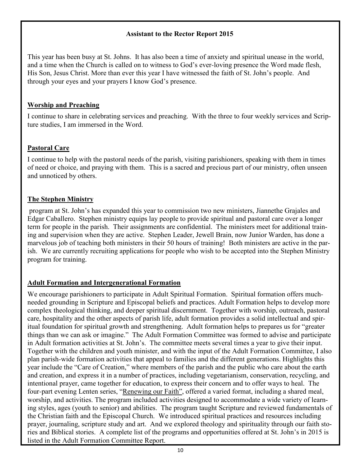#### Assistant to the Rector Report 2015

This year has been busy at St. Johns. It has also been a time of anxiety and spiritual unease in the world, and a time when the Church is called on to witness to God's ever-loving presence the Word made flesh, His Son, Jesus Christ. More than ever this year I have witnessed the faith of St. John's people. And through your eyes and your prayers I know God's presence.

#### Worship and Preaching

I continue to share in celebrating services and preaching. With the three to four weekly services and Scripture studies, I am immersed in the Word.

#### Pastoral Care

I continue to help with the pastoral needs of the parish, visiting parishioners, speaking with them in times of need or choice, and praying with them. This is a sacred and precious part of our ministry, often unseen and unnoticed by others.

#### The Stephen Ministry

 program at St. John's has expanded this year to commission two new ministers, Jiannethe Grajales and Edgar Caballero. Stephen ministry equips lay people to provide spiritual and pastoral care over a longer term for people in the parish. Their assignments are confidential. The ministers meet for additional training and supervision when they are active. Stephen Leader, Jewell Brain, now Junior Warden, has done a marvelous job of teaching both ministers in their 50 hours of training! Both ministers are active in the parish. We are currently recruiting applications for people who wish to be accepted into the Stephen Ministry program for training.

#### Adult Formation and Intergenerational Formation

We encourage parishioners to participate in Adult Spiritual Formation. Spiritual formation offers muchneeded grounding in Scripture and Episcopal beliefs and practices. Adult Formation helps to develop more complex theological thinking, and deeper spiritual discernment. Together with worship, outreach, pastoral care, hospitality and the other aspects of parish life, adult formation provides a solid intellectual and spiritual foundation for spiritual growth and strengthening. Adult formation helps to prepares us for "greater things than we can ask or imagine." The Adult Formation Committee was formed to advise and participate in Adult formation activities at St. John's. The committee meets several times a year to give their input. Together with the children and youth minister, and with the input of the Adult Formation Committee, I also plan parish-wide formation activities that appeal to families and the different generations. Highlights this year include the "Care of Creation," where members of the parish and the public who care about the earth and creation, and express it in a number of practices, including vegetarianism, conservation, recycling, and intentional prayer, came together for education, to express their concern and to offer ways to heal. The four-part evening Lenten series, "Renewing our Faith", offered a varied format, including a shared meal, worship, and activities. The program included activities designed to accommodate a wide variety of learning styles, ages (youth to senior) and abilities. The program taught Scripture and reviewed fundamentals of the Christian faith and the Episcopal Church. We introduced spiritual practices and resources including prayer, journaling, scripture study and art. And we explored theology and spirituality through our faith stories and Biblical stories. A complete list of the programs and opportunities offered at St. John's in 2015 is listed in the Adult Formation Committee Report.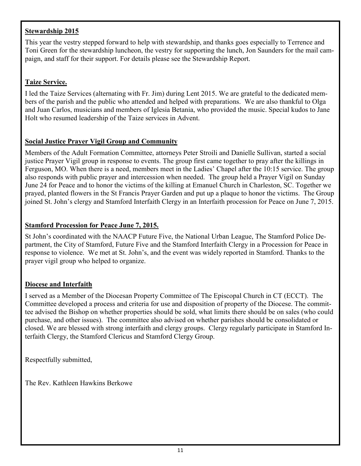#### Stewardship 2015

This year the vestry stepped forward to help with stewardship, and thanks goes especially to Terrence and Toni Green for the stewardship luncheon, the vestry for supporting the lunch, Jon Saunders for the mail campaign, and staff for their support. For details please see the Stewardship Report.

#### Taize Service.

I led the Taize Services (alternating with Fr. Jim) during Lent 2015. We are grateful to the dedicated members of the parish and the public who attended and helped with preparations. We are also thankful to Olga and Juan Carlos, musicians and members of Iglesia Betania, who provided the music. Special kudos to Jane Holt who resumed leadership of the Taize services in Advent.

#### Social Justice Prayer Vigil Group and Community

Members of the Adult Formation Committee, attorneys Peter Stroili and Danielle Sullivan, started a social justice Prayer Vigil group in response to events. The group first came together to pray after the killings in Ferguson, MO. When there is a need, members meet in the Ladies' Chapel after the 10:15 service. The group also responds with public prayer and intercession when needed. The group held a Prayer Vigil on Sunday June 24 for Peace and to honor the victims of the killing at Emanuel Church in Charleston, SC. Together we prayed, planted flowers in the St Francis Prayer Garden and put up a plaque to honor the victims. The Group joined St. John's clergy and Stamford Interfaith Clergy in an Interfaith procession for Peace on June 7, 2015.

#### Stamford Procession for Peace June 7, 2015.

St John's coordinated with the NAACP Future Five, the National Urban League, The Stamford Police Department, the City of Stamford, Future Five and the Stamford Interfaith Clergy in a Procession for Peace in response to violence. We met at St. John's, and the event was widely reported in Stamford. Thanks to the prayer vigil group who helped to organize.

#### Diocese and Interfaith

I served as a Member of the Diocesan Property Committee of The Episcopal Church in CT (ECCT). The Committee developed a process and criteria for use and disposition of property of the Diocese. The committee advised the Bishop on whether properties should be sold, what limits there should be on sales (who could purchase, and other issues). The committee also advised on whether parishes should be consolidated or closed. We are blessed with strong interfaith and clergy groups. Clergy regularly participate in Stamford Interfaith Clergy, the Stamford Clericus and Stamford Clergy Group.

Respectfully submitted,

The Rev. Kathleen Hawkins Berkowe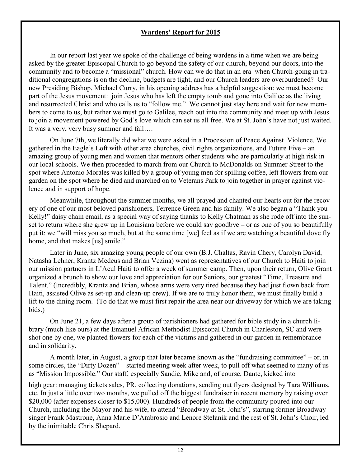#### Wardens' Report for 2015

In our report last year we spoke of the challenge of being wardens in a time when we are being asked by the greater Episcopal Church to go beyond the safety of our church, beyond our doors, into the community and to become a "missional" church. How can we do that in an era when Church-going in traditional congregations is on the decline, budgets are tight, and our Church leaders are overburdened? Our new Presiding Bishop, Michael Curry, in his opening address has a helpful suggestion: we must become part of the Jesus movement: join Jesus who has left the empty tomb and gone into Galilee as the living and resurrected Christ and who calls us to "follow me." We cannot just stay here and wait for new members to come to us, but rather we must go to Galilee, reach out into the community and meet up with Jesus to join a movement powered by God's love which can set us all free. We at St. John's have not just waited. It was a very, very busy summer and fall….

On June 7th, we literally did what we were asked in a Procession of Peace Against Violence. We gathered in the Eagle's Loft with other area churches, civil rights organizations, and Future Five – an amazing group of young men and women that mentors other students who are particularly at high risk in our local schools. We then proceeded to march from our Church to McDonalds on Summer Street to the spot where Antonio Morales was killed by a group of young men for spilling coffee, left flowers from our garden on the spot where he died and marched on to Veterans Park to join together in prayer against violence and in support of hope.

Meanwhile, throughout the summer months, we all prayed and chanted our hearts out for the recovery of one of our most beloved parishioners, Terrence Green and his family. We also began a "Thank you Kelly!" daisy chain email, as a special way of saying thanks to Kelly Chatman as she rode off into the sunset to return where she grew up in Louisiana before we could say goodbye – or as one of you so beautifully put it: we "will miss you so much, but at the same time [we] feel as if we are watching a beautiful dove fly home, and that makes [us] smile."

Later in June, six amazing young people of our own (B.J. Chaltas, Ravin Chery, Carolyn David, Natasha Lehner, Krantz Medeus and Brian Vezina) went as representatives of our Church to Haiti to join our mission partners in L'Acul Haiti to offer a week of summer camp. Then, upon their return, Olive Grant organized a brunch to show our love and appreciation for our Seniors, our greatest "Time, Treasure and Talent." (Incredibly, Krantz and Brian, whose arms were very tired because they had just flown back from Haiti, assisted Olive as set-up and clean-up crew). If we are to truly honor them, we must finally build a lift to the dining room. (To do that we must first repair the area near our driveway for which we are taking bids.)

On June 21, a few days after a group of parishioners had gathered for bible study in a church library (much like ours) at the Emanuel African Methodist Episcopal Church in Charleston, SC and were shot one by one, we planted flowers for each of the victims and gathered in our garden in remembrance and in solidarity.

A month later, in August, a group that later became known as the "fundraising committee" – or, in some circles, the "Dirty Dozen" – started meeting week after week, to pull off what seemed to many of us as "Mission Impossible." Our staff, especially Sandie, Mike and, of course, Dante, kicked into

high gear: managing tickets sales, PR, collecting donations, sending out flyers designed by Tara Williams, etc. In just a little over two months, we pulled off the biggest fundraiser in recent memory by raising over \$20,000 (after expenses closer to \$15,000). Hundreds of people from the community poured into our Church, including the Mayor and his wife, to attend "Broadway at St. John's", starring former Broadway singer Frank Mastrone, Anna Marie D'Ambrosio and Lenore Stefanik and the rest of St. John's Choir, led by the inimitable Chris Shepard.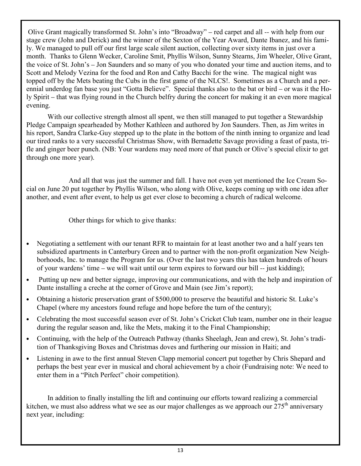Olive Grant magically transformed St. John's into "Broadway" – red carpet and all -- with help from our stage crew (John and Derick) and the winner of the Sexton of the Year Award, Dante Ibanez, and his family. We managed to pull off our first large scale silent auction, collecting over sixty items in just over a month. Thanks to Glenn Wecker, Caroline Smit, Phyllis Wilson, Sunny Stearns, Jim Wheeler, Olive Grant, the voice of St. John's – Jon Saunders and so many of you who donated your time and auction items, and to Scott and Melody Vezina for the food and Ron and Cathy Bacchi for the wine. The magical night was topped off by the Mets beating the Cubs in the first game of the NLCS!. Sometimes as a Church and a perennial underdog fan base you just "Gotta Believe". Special thanks also to the bat or bird – or was it the Holy Spirit – that was flying round in the Church belfry during the concert for making it an even more magical evening.

With our collective strength almost all spent, we then still managed to put together a Stewardship Pledge Campaign spearheaded by Mother Kathleen and authored by Jon Saunders. Then, as Jim writes in his report, Sandra Clarke-Guy stepped up to the plate in the bottom of the ninth inning to organize and lead our tired ranks to a very successful Christmas Show, with Bernadette Savage providing a feast of pasta, trifle and ginger beer punch. (NB: Your wardens may need more of that punch or Olive's special elixir to get through one more year).

And all that was just the summer and fall. I have not even yet mentioned the Ice Cream Social on June 20 put together by Phyllis Wilson, who along with Olive, keeps coming up with one idea after another, and event after event, to help us get ever close to becoming a church of radical welcome.

Other things for which to give thanks:

- Negotiating a settlement with our tenant RFR to maintain for at least another two and a half years ten subsidized apartments in Canterbury Green and to partner with the non-profit organization New Neighborhoods, Inc. to manage the Program for us. (Over the last two years this has taken hundreds of hours of your wardens' time – we will wait until our term expires to forward our bill -- just kidding);
- Putting up new and better signage, improving our communications, and with the help and inspiration of Dante installing a creche at the corner of Grove and Main (see Jim's report);
- Obtaining a historic preservation grant of \$500,000 to preserve the beautiful and historic St. Luke's Chapel (where my ancestors found refuge and hope before the turn of the century);
- Celebrating the most successful season ever of St. John's Cricket Club team, number one in their league during the regular season and, like the Mets, making it to the Final Championship;
- Continuing, with the help of the Outreach Pathway (thanks Sheelagh, Jean and crew), St. John's tradition of Thanksgiving Boxes and Christmas doves and furthering our mission in Haiti; and
- Listening in awe to the first annual Steven Clapp memorial concert put together by Chris Shepard and perhaps the best year ever in musical and choral achievement by a choir (Fundraising note: We need to enter them in a "Pitch Perfect" choir competition).

In addition to finally installing the lift and continuing our efforts toward realizing a commercial kitchen, we must also address what we see as our major challenges as we approach our  $275<sup>th</sup>$  anniversary next year, including: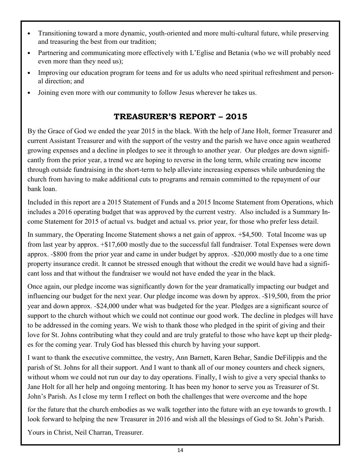- Transitioning toward a more dynamic, youth-oriented and more multi-cultural future, while preserving and treasuring the best from our tradition;
- Partnering and communicating more effectively with L'Eglise and Betania (who we will probably need even more than they need us);
- Improving our education program for teens and for us adults who need spiritual refreshment and personal direction; and
- Joining even more with our community to follow Jesus wherever he takes us.

# TREASURER'S REPORT – 2015

By the Grace of God we ended the year 2015 in the black. With the help of Jane Holt, former Treasurer and current Assistant Treasurer and with the support of the vestry and the parish we have once again weathered growing expenses and a decline in pledges to see it through to another year. Our pledges are down significantly from the prior year, a trend we are hoping to reverse in the long term, while creating new income through outside fundraising in the short-term to help alleviate increasing expenses while unburdening the church from having to make additional cuts to programs and remain committed to the repayment of our bank loan.

Included in this report are a 2015 Statement of Funds and a 2015 Income Statement from Operations, which includes a 2016 operating budget that was approved by the current vestry. Also included is a Summary Income Statement for 2015 of actual vs. budget and actual vs. prior year, for those who prefer less detail.

In summary, the Operating Income Statement shows a net gain of approx. +\$4,500. Total Income was up from last year by approx. +\$17,600 mostly due to the successful fall fundraiser. Total Expenses were down approx. -\$800 from the prior year and came in under budget by approx. -\$20,000 mostly due to a one time property insurance credit. It cannot be stressed enough that without the credit we would have had a significant loss and that without the fundraiser we would not have ended the year in the black.

Once again, our pledge income was significantly down for the year dramatically impacting our budget and influencing our budget for the next year. Our pledge income was down by approx. -\$19,500, from the prior year and down approx. -\$24,000 under what was budgeted for the year. Pledges are a significant source of support to the church without which we could not continue our good work. The decline in pledges will have to be addressed in the coming years. We wish to thank those who pledged in the spirit of giving and their love for St. Johns contributing what they could and are truly grateful to those who have kept up their pledges for the coming year. Truly God has blessed this church by having your support.

I want to thank the executive committee, the vestry, Ann Barnett, Karen Behar, Sandie DeFilippis and the parish of St. Johns for all their support. And I want to thank all of our money counters and check signers, without whom we could not run our day to day operations. Finally, I wish to give a very special thanks to Jane Holt for all her help and ongoing mentoring. It has been my honor to serve you as Treasurer of St. John's Parish. As I close my term I reflect on both the challenges that were overcome and the hope

for the future that the church embodies as we walk together into the future with an eye towards to growth. I look forward to helping the new Treasurer in 2016 and wish all the blessings of God to St. John's Parish.

Yours in Christ, Neil Charran, Treasurer.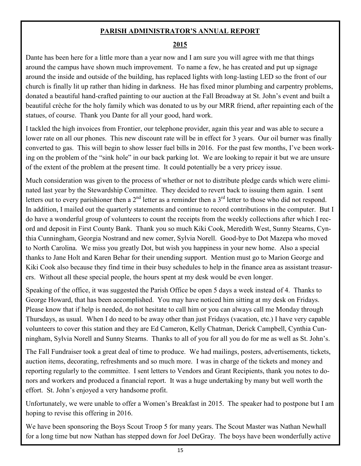#### PARISH ADMINISTRATOR'S ANNUAL REPORT

#### 2015

Dante has been here for a little more than a year now and I am sure you will agree with me that things around the campus have shown much improvement. To name a few, he has created and put up signage around the inside and outside of the building, has replaced lights with long-lasting LED so the front of our church is finally lit up rather than hiding in darkness. He has fixed minor plumbing and carpentry problems, donated a beautiful hand-crafted painting to our auction at the Fall Broadway at St. John's event and built a beautiful crèche for the holy family which was donated to us by our MRR friend, after repainting each of the statues, of course. Thank you Dante for all your good, hard work.

I tackled the high invoices from Frontier, our telephone provider, again this year and was able to secure a lower rate on all our phones. This new discount rate will be in effect for 3 years. Our oil burner was finally converted to gas. This will begin to show lesser fuel bills in 2016. For the past few months, I've been working on the problem of the "sink hole" in our back parking lot. We are looking to repair it but we are unsure of the extent of the problem at the present time. It could potentially be a very pricey issue.

Much consideration was given to the process of whether or not to distribute pledge cards which were eliminated last year by the Stewardship Committee. They decided to revert back to issuing them again. I sent letters out to every parishioner then a  $2<sup>nd</sup>$  letter as a reminder then a  $3<sup>rd</sup>$  letter to those who did not respond. In addition, I mailed out the quarterly statements and continue to record contributions in the computer. But I do have a wonderful group of volunteers to count the receipts from the weekly collections after which I record and deposit in First County Bank. Thank you so much Kiki Cook, Meredith West, Sunny Stearns, Cynthia Cunningham, Georgia Nostrand and new comer, Sylvia Norell. Good-bye to Dot Mazepa who moved to North Carolina. We miss you greatly Dot, but wish you happiness in your new home. Also a special thanks to Jane Holt and Karen Behar for their unending support. Mention must go to Marion George and Kiki Cook also because they find time in their busy schedules to help in the finance area as assistant treasurers. Without all these special people, the hours spent at my desk would be even longer.

Speaking of the office, it was suggested the Parish Office be open 5 days a week instead of 4. Thanks to George Howard, that has been accomplished. You may have noticed him sitting at my desk on Fridays. Please know that if help is needed, do not hesitate to call him or you can always call me Monday through Thursdays, as usual. When I do need to be away other than just Fridays (vacation, etc.) I have very capable volunteers to cover this station and they are Ed Cameron, Kelly Chatman, Derick Campbell, Cynthia Cunningham, Sylvia Norell and Sunny Stearns. Thanks to all of you for all you do for me as well as St. John's.

The Fall Fundraiser took a great deal of time to produce. We had mailings, posters, advertisements, tickets, auction items, decorating, refreshments and so much more. I was in charge of the tickets and money and reporting regularly to the committee. I sent letters to Vendors and Grant Recipients, thank you notes to donors and workers and produced a financial report. It was a huge undertaking by many but well worth the effort. St. John's enjoyed a very handsome profit.

Unfortunately, we were unable to offer a Women's Breakfast in 2015. The speaker had to postpone but I am hoping to revise this offering in 2016.

We have been sponsoring the Boys Scout Troop 5 for many years. The Scout Master was Nathan Newhall for a long time but now Nathan has stepped down for Joel DeGray. The boys have been wonderfully active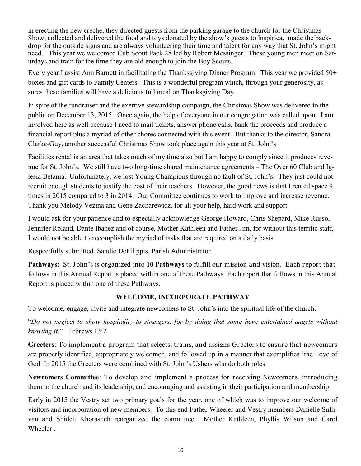in erecting the new crèche, they directed guests from the parking garage to the church for the Christmas Show, collected and delivered the food and toys donated by the show's guests to Inspirica, made the backdrop for the outside signs and are always volunteering their time and talent for any way that St. John's might need. This year we welcomed Cub Scout Pack 28 led by Robert Messinger. These young men meet on Saturdays and train for the time they are old enough to join the Boy Scouts.

Every year I assist Ann Barnett in facilitating the Thanksgiving Dinner Program. This year we provided 50+ boxes and gift cards to Family Centers. This is a wonderful program which, through your generosity, assures these families will have a delicious full meal on Thanksgiving Day.

In spite of the fundraiser and the exertive stewardship campaign, the Christmas Show was delivered to the public on December 13, 2015. Once again, the help of everyone in our congregation was called upon. I am involved here as well because I need to mail tickets, answer phone calls, bank the proceeds and produce a financial report plus a myriad of other chores connected with this event. But thanks to the director, Sandra Clarke-Guy, another successful Christmas Show took place again this year at St. John's.

Facilities rental is an area that takes much of my time also but I am happy to comply since it produces revenue for St. John's. We still have two long-time shared maintenance agreements – The Over 60 Club and Iglesia Betania. Unfortunately, we lost Young Champions through no fault of St. John's. They just could not recruit enough students to justify the cost of their teachers. However, the good news is that I rented space 9 times in 2015 compared to 3 in 2014. Our Committee continues to work to improve and increase revenue. Thank you Melody Vezina and Gene Zacharewicz, for all your help, hard work and support.

I would ask for your patience and to especially acknowledge George Howard, Chris Shepard, Mike Russo, Jennifer Roland, Dante Ibanez and of course, Mother Kathleen and Father Jim, for without this terrific staff, I would not be able to accomplish the myriad of tasks that are required on a daily basis.

Respectfully submitted, Sandie DeFilippis, Parish Administrator

Pathways: St. John's is organized into 10 Pathways to fulfill our mission and vision. Each report that follows in this Annual Report is placed within one of these Pathways. Each report that follows in this Annual Report is placed within one of these Pathways.

#### WELCOME, INCORPORATE PATHWAY

To welcome, engage, invite and integrate newcomers to St. John's into the spiritual life of the church.

"Do not neglect to show hospitality to strangers, for by doing that some have entertained angels without knowing it." Hebrews 13:2

Greeters: To implement a program that selects, trains, and assigns Greeters to ensure that newcomers are properly identified, appropriately welcomed, and followed up in a manner that exemplifies 'the Love of God. In 2015 the Greeters were combined with St. John's Ushers who do both roles

Newcomers Committee: To develop and implement a process for receiving Newcomers, introducing them to the church and its leadership, and encouraging and assisting in their participation and membership

Early in 2015 the Vestry set two primary goals for the year, one of which was to improve our welcome of visitors and incorporation of new members. To this end Father Wheeler and Vestry members Danielle Sullivan and Shideh Khorasheh reorganized the committee. Mother Kathleen, Phyllis Wilson and Carol Wheeler .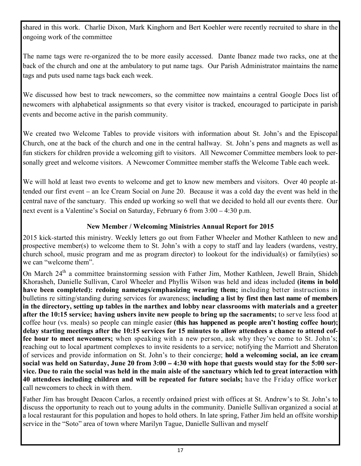shared in this work. Charlie Dixon, Mark Kinghorn and Bert Koehler were recently recruited to share in the ongoing work of the committee

The name tags were re-organized the to be more easily accessed. Dante Ibanez made two racks, one at the back of the church and one at the ambulatory to put name tags. Our Parish Administrator maintains the name tags and puts used name tags back each week.

We discussed how best to track newcomers, so the committee now maintains a central Google Docs list of newcomers with alphabetical assignments so that every visitor is tracked, encouraged to participate in parish events and become active in the parish community.

We created two Welcome Tables to provide visitors with information about St. John's and the Episcopal Church, one at the back of the church and one in the central hallway. St. John's pens and magnets as well as fun stickers for children provide a welcoming gift to visitors. All Newcomer Committee members look to personally greet and welcome visitors. A Newcomer Committee member staffs the Welcome Table each week.

We will hold at least two events to welcome and get to know new members and visitors. Over 40 people attended our first event – an Ice Cream Social on June 20. Because it was a cold day the event was held in the central nave of the sanctuary. This ended up working so well that we decided to hold all our events there. Our next event is a Valentine's Social on Saturday, February 6 from 3:00 – 4:30 p.m.

#### New Member / Welcoming Ministries Annual Report for 2015

2015 kick-started this ministry. Weekly letters go out from Father Wheeler and Mother Kathleen to new and prospective member(s) to welcome them to St. John's with a copy to staff and lay leaders (wardens, vestry, church school, music program and me as program director) to lookout for the individual(s) or family(ies) so we can "welcome them".

On March 24<sup>th</sup> a committee brainstorming session with Father Jim, Mother Kathleen, Jewell Brain, Shideh Khorasheh, Danielle Sullivan, Carol Wheeler and Phyllis Wilson was held and ideas included (items in bold have been completed): redoing nametags/emphasizing wearing them; including better instructions in bulletins re sitting/standing during services for awareness; including a list by first then last name of members in the directory, setting up tables in the narthex and lobby near classrooms with materials and a greeter after the 10:15 service; having ushers invite new people to bring up the sacraments; to serve less food at coffee hour (vs. meals) so people can mingle easier (this has happened as people aren't hosting coffee hour); delay starting meetings after the 10:15 services for 15 minutes to allow attendees a chance to attend coffee hour to meet newcomers; when speaking with a new person, ask why they've come to St. John's; reaching out to local apartment complexes to invite residents to a service; notifying the Marriott and Sheraton of services and provide information on St. John's to their concierge; hold a welcoming social, an ice cream social was held on Saturday, June 20 from 3:00 **–** 4:30 with hope that guests would stay for the 5:00 service. Due to rain the social was held in the main aisle of the sanctuary which led to great interaction with 40 attendees including children and will be repeated for future socials; have the Friday office worker call newcomers to check in with them.

Father Jim has brought Deacon Carlos, a recently ordained priest with offices at St. Andrew's to St. John's to discuss the opportunity to reach out to young adults in the community. Danielle Sullivan organized a social at a local restaurant for this population and hopes to hold others. In late spring, Father Jim held an offsite worship service in the "Soto" area of town where Marilyn Tague, Danielle Sullivan and myself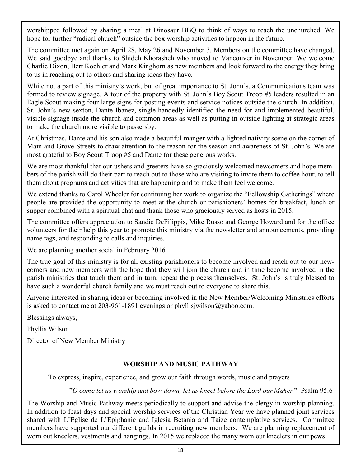worshipped followed by sharing a meal at Dinosaur BBQ to think of ways to reach the unchurched. We hope for further "radical church" outside the box worship activities to happen in the future.

The committee met again on April 28, May 26 and November 3. Members on the committee have changed. We said goodbye and thanks to Shideh Khorasheh who moved to Vancouver in November. We welcome Charlie Dixon, Bert Koehler and Mark Kinghorn as new members and look forward to the energy they bring to us in reaching out to others and sharing ideas they have.

While not a part of this ministry's work, but of great importance to St. John's, a Communications team was formed to review signage. A tour of the property with St. John's Boy Scout Troop #5 leaders resulted in an Eagle Scout making four large signs for posting events and service notices outside the church. In addition, St. John's new sexton, Dante Ibanez, single-handedly identified the need for and implemented beautiful, visible signage inside the church and common areas as well as putting in outside lighting at strategic areas to make the church more visible to passersby.

At Christmas, Dante and his son also made a beautiful manger with a lighted nativity scene on the corner of Main and Grove Streets to draw attention to the reason for the season and awareness of St. John's. We are most grateful to Boy Scout Troop #5 and Dante for these generous works.

We are most thankful that our ushers and greeters have so graciously welcomed newcomers and hope members of the parish will do their part to reach out to those who are visiting to invite them to coffee hour, to tell them about programs and activities that are happening and to make them feel welcome.

We extend thanks to Carol Wheeler for continuing her work to organize the "Fellowship Gatherings" where people are provided the opportunity to meet at the church or parishioners' homes for breakfast, lunch or supper combined with a spiritual chat and thank those who graciously served as hosts in 2015.

The committee offers appreciation to Sandie DeFilippis, Mike Russo and George Howard and for the office volunteers for their help this year to promote this ministry via the newsletter and announcements, providing name tags, and responding to calls and inquiries.

We are planning another social in February 2016.

The true goal of this ministry is for all existing parishioners to become involved and reach out to our newcomers and new members with the hope that they will join the church and in time become involved in the parish ministries that touch them and in turn, repeat the process themselves. St. John's is truly blessed to have such a wonderful church family and we must reach out to everyone to share this.

Anyone interested in sharing ideas or becoming involved in the New Member/Welcoming Ministries efforts is asked to contact me at 203-961-1891 evenings or phyllisjwilson@yahoo.com.

Blessings always,

Phyllis Wilson

Director of New Member Ministry

#### WORSHIP AND MUSIC PATHWAY

To express, inspire, experience, and grow our faith through words, music and prayers

"O come let us worship and bow down, let us kneel before the Lord our Maker." Psalm 95:6

The Worship and Music Pathway meets periodically to support and advise the clergy in worship planning. In addition to feast days and special worship services of the Christian Year we have planned joint services shared with L'Eglise de L'Epiphanie and Iglesia Betania and Taize contemplative services. Committee members have supported our different guilds in recruiting new members. We are planning replacement of worn out kneelers, vestments and hangings. In 2015 we replaced the many worn out kneelers in our pews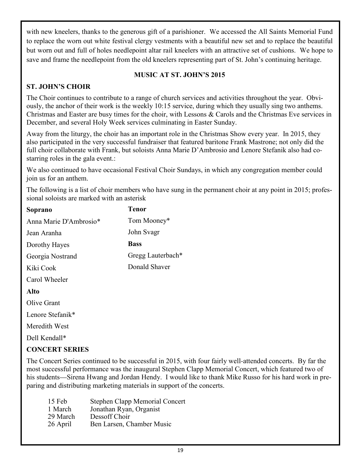with new kneelers, thanks to the generous gift of a parishioner. We accessed the All Saints Memorial Fund to replace the worn out white festival clergy vestments with a beautiful new set and to replace the beautiful but worn out and full of holes needlepoint altar rail kneelers with an attractive set of cushions. We hope to save and frame the needlepoint from the old kneelers representing part of St. John's continuing heritage.

#### MUSIC AT ST. JOHN'S 2015

#### ST. JOHN'S CHOIR

The Choir continues to contribute to a range of church services and activities throughout the year. Obviously, the anchor of their work is the weekly 10:15 service, during which they usually sing two anthems. Christmas and Easter are busy times for the choir, with Lessons & Carols and the Christmas Eve services in December, and several Holy Week services culminating in Easter Sunday.

Away from the liturgy, the choir has an important role in the Christmas Show every year. In 2015, they also participated in the very successful fundraiser that featured baritone Frank Mastrone; not only did the full choir collaborate with Frank, but soloists Anna Marie D'Ambrosio and Lenore Stefanik also had costarring roles in the gala event.:

We also continued to have occasional Festival Choir Sundays, in which any congregation member could join us for an anthem.

The following is a list of choir members who have sung in the permanent choir at any point in 2015; professional soloists are marked with an asterisk

| Soprano                | <b>Tenor</b>      |  |
|------------------------|-------------------|--|
| Anna Marie D'Ambrosio* | Tom Mooney*       |  |
| Jean Aranha            | John Svagr        |  |
| Dorothy Hayes          | <b>Bass</b>       |  |
| Georgia Nostrand       | Gregg Lauterbach* |  |
| Kiki Cook              | Donald Shaver     |  |
| Carol Wheeler          |                   |  |
| Alto                   |                   |  |
| Olive Grant            |                   |  |
| Lenore Stefanik*       |                   |  |
| Meredith West          |                   |  |
| Dell Kendall*          |                   |  |
|                        |                   |  |

#### CONCERT SERIES

The Concert Series continued to be successful in 2015, with four fairly well-attended concerts. By far the most successful performance was the inaugural Stephen Clapp Memorial Concert, which featured two of his students—Sirena Hwang and Jordan Hendy. I would like to thank Mike Russo for his hard work in preparing and distributing marketing materials in support of the concerts.

| 15 Feb   | Stephen Clapp Memorial Concert |
|----------|--------------------------------|
| 1 March  | Jonathan Ryan, Organist        |
| 29 March | Dessoff Choir                  |
| 26 April | Ben Larsen, Chamber Music      |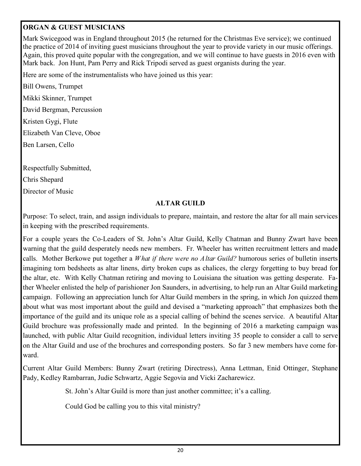#### ORGAN & GUEST MUSICIANS

Mark Swicegood was in England throughout 2015 (he returned for the Christmas Eve service); we continued the practice of 2014 of inviting guest musicians throughout the year to provide variety in our music offerings. Again, this proved quite popular with the congregation, and we will continue to have guests in 2016 even with Mark back. Jon Hunt, Pam Perry and Rick Tripodi served as guest organists during the year.

Here are some of the instrumentalists who have joined us this year:

Bill Owens, Trumpet Mikki Skinner, Trumpet David Bergman, Percussion

Kristen Gygi, Flute

Elizabeth Van Cleve, Oboe

Ben Larsen, Cello

Respectfully Submitted,

Chris Shepard

Director of Music

#### ALTAR GUILD

Purpose: To select, train, and assign individuals to prepare, maintain, and restore the altar for all main services in keeping with the prescribed requirements.

For a couple years the Co-Leaders of St. John's Altar Guild, Kelly Chatman and Bunny Zwart have been warning that the guild desperately needs new members. Fr. Wheeler has written recruitment letters and made calls. Mother Berkowe put together a *What if there were no Altar Guild?* humorous series of bulletin inserts imagining torn bedsheets as altar linens, dirty broken cups as chalices, the clergy forgetting to buy bread for the altar, etc. With Kelly Chatman retiring and moving to Louisiana the situation was getting desperate. Father Wheeler enlisted the help of parishioner Jon Saunders, in advertising, to help run an Altar Guild marketing campaign. Following an appreciation lunch for Altar Guild members in the spring, in which Jon quizzed them about what was most important about the guild and devised a "marketing approach" that emphasizes both the importance of the guild and its unique role as a special calling of behind the scenes service. A beautiful Altar Guild brochure was professionally made and printed. In the beginning of 2016 a marketing campaign was launched, with public Altar Guild recognition, individual letters inviting 35 people to consider a call to serve on the Altar Guild and use of the brochures and corresponding posters. So far 3 new members have come forward.

Current Altar Guild Members: Bunny Zwart (retiring Directress), Anna Lettman, Enid Ottinger, Stephane Pady, Kedley Rambarran, Judie Schwartz, Aggie Segovia and Vicki Zacharewicz.

St. John's Altar Guild is more than just another committee; it's a calling.

Could God be calling you to this vital ministry?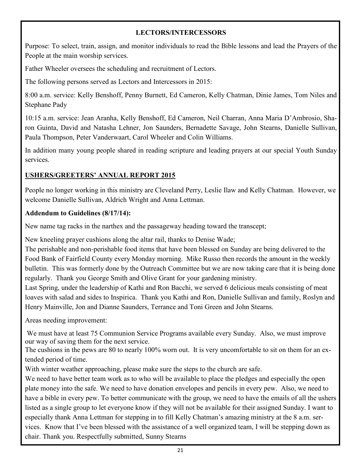#### LECTORS/INTERCESSORS

Purpose: To select, train, assign, and monitor individuals to read the Bible lessons and lead the Prayers of the People at the main worship services.

Father Wheeler oversees the scheduling and recruitment of Lectors.

The following persons served as Lectors and Intercessors in 2015:

8:00 a.m. service: Kelly Benshoff, Penny Burnett, Ed Cameron, Kelly Chatman, Dinie James, Tom Niles and Stephane Pady

10:15 a.m. service: Jean Aranha, Kelly Benshoff, Ed Cameron, Neil Charran, Anna Maria D'Ambrosio, Sharon Guinta, David and Natasha Lehner, Jon Saunders, Bernadette Savage, John Stearns, Danielle Sullivan, Paula Thompson, Peter Vanderwaart, Carol Wheeler and Colin Williams.

In addition many young people shared in reading scripture and leading prayers at our special Youth Sunday services.

## USHERS/GREETERS' ANNUAL REPORT 2015

People no longer working in this ministry are Cleveland Perry, Leslie Ilaw and Kelly Chatman. However, we welcome Danielle Sullivan, Aldrich Wright and Anna Lettman.

#### Addendum to Guidelines (8/17/14):

New name tag racks in the narthex and the passageway heading toward the transcept;

New kneeling prayer cushions along the altar rail, thanks to Denise Wade;

The perishable and non-perishable food items that have been blessed on Sunday are being delivered to the Food Bank of Fairfield County every Monday morning. Mike Russo then records the amount in the weekly bulletin. This was formerly done by the Outreach Committee but we are now taking care that it is being done regularly. Thank you George Smith and Olive Grant for your gardening ministry.

Last Spring, under the leadership of Kathi and Ron Bacchi, we served 6 delicious meals consisting of meat loaves with salad and sides to Inspirica. Thank you Kathi and Ron, Danielle Sullivan and family, Roslyn and Henry Mainville, Jon and Dianne Saunders, Terrance and Toni Green and John Stearns.

Areas needing improvement:

 We must have at least 75 Communion Service Programs available every Sunday. Also, we must improve our way of saving them for the next service.

The cushions in the pews are 80 to nearly 100% worn out. It is very uncomfortable to sit on them for an extended period of time.

With winter weather approaching, please make sure the steps to the church are safe.

We need to have better team work as to who will be available to place the pledges and especially the open plate money into the safe. We need to have donation envelopes and pencils in every pew. Also, we need to have a bible in every pew. To better communicate with the group, we need to have the emails of all the ushers listed as a single group to let everyone know if they will not be available for their assigned Sunday. I want to especially thank Anna Lettman for stepping in to fill Kelly Chatman's amazing ministry at the 8 a.m. services. Know that I've been blessed with the assistance of a well organized team, I will be stepping down as chair. Thank you. Respectfully submitted, Sunny Stearns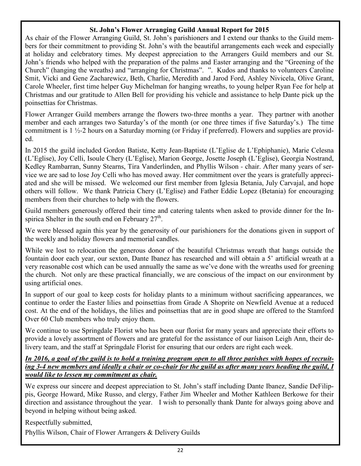#### St. John's Flower Arranging Guild Annual Report for 2015

As chair of the Flower Arranging Guild, St. John's parishioners and I extend our thanks to the Guild members for their commitment to providing St. John's with the beautiful arrangements each week and especially at holiday and celebratory times. My deepest appreciation to the Arrangers Guild members and our St. John's friends who helped with the preparation of the palms and Easter arranging and the "Greening of the Church" (hanging the wreaths) and "arranging for Christmas". ". Kudos and thanks to volunteers Caroline Smit, Vicki and Gene Zacharewicz, Beth, Charlie, Meredith and Jarod Ford, Ashley Nivicela, Olive Grant, Carole Wheeler, first time helper Guy Michelman for hanging wreaths, to young helper Ryan Fee for help at Christmas and our gratitude to Allen Bell for providing his vehicle and assistance to help Dante pick up the poinsettias for Christmas.

Flower Arranger Guild members arrange the flowers two-three months a year. They partner with another member and each arranges two Saturday's of the month (or one three times if five Saturday's.) The time commitment is 1 ½-2 hours on a Saturday morning (or Friday if preferred). Flowers and supplies are provided.

In 2015 the guild included Gordon Batiste, Ketty Jean-Baptiste (L'Eglise de L'Ephiphanie), Marie Celesna (L'Eglise), Joy Celli, Isoule Chery (L'Eglise), Marion George, Josette Joseph (L'Eglise), Georgia Nostrand, Kedley Rambarran, Sunny Stearns, Tira Vanderlinden, and Phyllis Wilson - chair. After many years of service we are sad to lose Joy Celli who has moved away. Her commitment over the years is gratefully appreciated and she will be missed. We welcomed our first member from Iglesia Betania, July Carvajal, and hope others will follow. We thank Patricia Chery (L'Eglise) and Father Eddie Lopez (Betania) for encouraging members from their churches to help with the flowers.

Guild members generously offered their time and catering talents when asked to provide dinner for the Inspirica Shelter in the south end on February  $27<sup>th</sup>$ .

We were blessed again this year by the generosity of our parishioners for the donations given in support of the weekly and holiday flowers and memorial candles.

While we lost to relocation the generous donor of the beautiful Christmas wreath that hangs outside the fountain door each year, our sexton, Dante Ibanez has researched and will obtain a 5' artificial wreath at a very reasonable cost which can be used annually the same as we've done with the wreaths used for greening the church. Not only are these practical financially, we are conscious of the impact on our environment by using artificial ones.

In support of our goal to keep costs for holiday plants to a minimum without sacrificing appearances, we continue to order the Easter lilies and poinsettias from Grade A Shoprite on Newfield Avenue at a reduced cost. At the end of the holidays, the lilies and poinsettias that are in good shape are offered to the Stamford Over 60 Club members who truly enjoy them.

We continue to use Springdale Florist who has been our florist for many years and appreciate their efforts to provide a lovely assortment of flowers and are grateful for the assistance of our liaison Leigh Ann, their delivery team, and the staff at Springdale Florist for ensuring that our orders are right each week.

#### In 2016, a goal of the guild is to hold a training program open to all three parishes with hopes of recruiting 3*-*4 new members and ideally a chair or co*-*chair for the guild as after many years heading the guild, I would like to lessen my commitment as chair.

We express our sincere and deepest appreciation to St. John's staff including Dante Ibanez, Sandie DeFilippis, George Howard, Mike Russo, and clergy, Father Jim Wheeler and Mother Kathleen Berkowe for their direction and assistance throughout the year. I wish to personally thank Dante for always going above and beyond in helping without being asked.

Respectfully submitted, Phyllis Wilson, Chair of Flower Arrangers & Delivery Guilds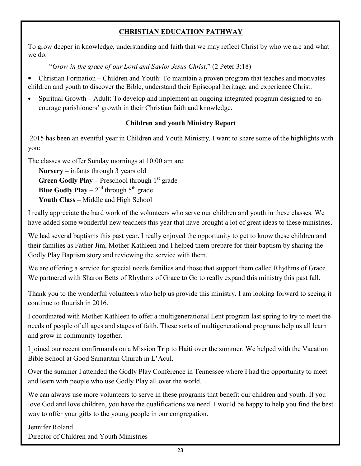#### CHRISTIAN EDUCATION PATHWAY

To grow deeper in knowledge, understanding and faith that we may reflect Christ by who we are and what we do.

"Grow in the grace of our Lord and Savior Jesus Christ." (2 Peter 3:18)

- Christian Formation Children and Youth: To maintain a proven program that teaches and motivates children and youth to discover the Bible, understand their Episcopal heritage, and experience Christ.
- Spiritual Growth Adult: To develop and implement an ongoing integrated program designed to encourage parishioners' growth in their Christian faith and knowledge.

#### Children and youth Ministry Report

 2015 has been an eventful year in Children and Youth Ministry. I want to share some of the highlights with you:

The classes we offer Sunday mornings at 10:00 am are:

Nursery – infants through 3 years old **Green Godly Play – Preschool through**  $1<sup>st</sup>$  **grade Blue Godly Play** –  $2^{nd}$  through  $5^{th}$  grade Youth Class – Middle and High School

I really appreciate the hard work of the volunteers who serve our children and youth in these classes. We have added some wonderful new teachers this year that have brought a lot of great ideas to these ministries.

We had several baptisms this past year. I really enjoyed the opportunity to get to know these children and their families as Father Jim, Mother Kathleen and I helped them prepare for their baptism by sharing the Godly Play Baptism story and reviewing the service with them.

We are offering a service for special needs families and those that support them called Rhythms of Grace. We partnered with Sharon Betts of Rhythms of Grace to Go to really expand this ministry this past fall.

Thank you to the wonderful volunteers who help us provide this ministry. I am looking forward to seeing it continue to flourish in 2016.

I coordinated with Mother Kathleen to offer a multigenerational Lent program last spring to try to meet the needs of people of all ages and stages of faith. These sorts of multigenerational programs help us all learn and grow in community together.

I joined our recent confirmands on a Mission Trip to Haiti over the summer. We helped with the Vacation Bible School at Good Samaritan Church in L'Acul.

Over the summer I attended the Godly Play Conference in Tennessee where I had the opportunity to meet and learn with people who use Godly Play all over the world.

We can always use more volunteers to serve in these programs that benefit our children and youth. If you love God and love children, you have the qualifications we need. I would be happy to help you find the best way to offer your gifts to the young people in our congregation.

Jennifer Roland Director of Children and Youth Ministries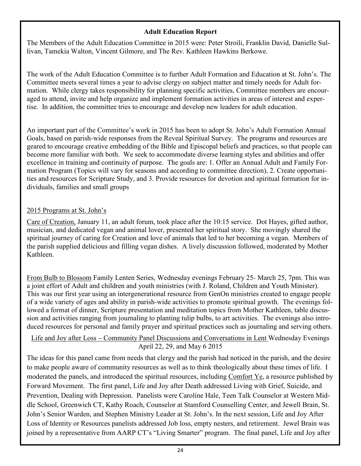#### Adult Education Report

The Members of the Adult Education Committee in 2015 were: Peter Stroili, Franklin David, Danielle Sullivan, Tamekia Walton, Vincent Gilmore, and The Rev. Kathleen Hawkins Berkowe.

The work of the Adult Education Committee is to further Adult Formation and Education at St. John's. The Committee meets several times a year to advise clergy on subject matter and timely needs for Adult formation. While clergy takes responsibility for planning specific activities, Committee members are encouraged to attend, invite and help organize and implement formation activities in areas of interest and expertise. In addition, the committee tries to encourage and develop new leaders for adult education.

An important part of the Committee's work in 2015 has been to adopt St. John's Adult Formation Annual Goals, based on parish-wide responses from the Reveal Spiritual Survey. The programs and resources are geared to encourage creative embedding of the Bible and Episcopal beliefs and practices, so that people can become more familiar with both. We seek to accommodate diverse learning styles and abilities and offer excellence in training and continuity of purpose. The goals are: 1. Offer an Annual Adult and Family Formation Program (Topics will vary for seasons and according to committee direction), 2. Create opportunities and resources for Scripture Study, and 3. Provide resources for devotion and spiritual formation for individuals, families and small groups

#### 2015 Programs at St. John's

Care of Creation, January 11, an adult forum, took place after the 10:15 service. Dot Hayes, gifted author, musician, and dedicated vegan and animal lover, presented her spiritual story. She movingly shared the spiritual journey of caring for Creation and love of animals that led to her becoming a vegan. Members of the parish supplied delicious and filling vegan dishes. A lively discussion followed, moderated by Mother Kathleen.

From Bulb to Blossom Family Lenten Series, Wednesday evenings February 25- March 25, 7pm. This was a joint effort of Adult and children and youth ministries (with J. Roland, Children and Youth Minister). This was our first year using an intergenerational resource from GenOn ministries created to engage people of a wide variety of ages and ability in parish-wide activities to promote spiritual growth. The evenings followed a format of dinner, Scripture presentation and meditation topics from Mother Kathleen, table discussion and activities ranging from journaling to planting tulip bulbs, to art activities. The evenings also introduced resources for personal and family prayer and spiritual practices such as journaling and serving others.

#### Life and Joy after Loss – Community Panel Discussions and Conversations in Lent Wednesday Evenings April 22, 29, and May 6 2015

The ideas for this panel came from needs that clergy and the parish had noticed in the parish, and the desire to make people aware of community resources as well as to think theologically about these times of life. I moderated the panels, and introduced the spiritual resources, including Comfort Ye, a resource published by Forward Movement. The first panel, Life and Joy after Death addressed Living with Grief, Suicide, and Prevention, Dealing with Depression. Panelists were Caroline Hale, Teen Talk Counselor at Western Middle School, Greenwich CT, Kathy Roach, Counselor at Stamford Counselling Center, and Jewell Brain, St. John's Senior Warden, and Stephen Ministry Leader at St. John's. In the next session, Life and Joy After Loss of Identity or Resources panelists addressed Job loss, empty nesters, and retirement. Jewel Brain was joined by a representative from AARP CT's "Living Smarter" program. The final panel, Life and Joy after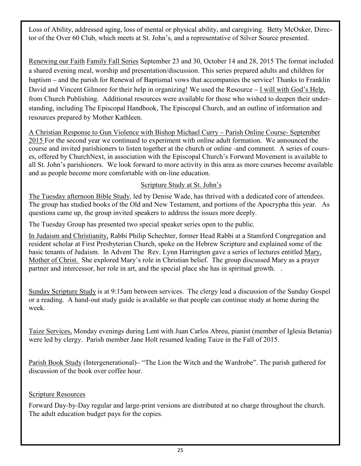Loss of Ability, addressed aging, loss of mental or physical ability, and caregiving. Betty McOsker, Director of the Over 60 Club, which meets at St. John's, and a representative of Silver Source presented.

Renewing our Faith Family Fall Series September 23 and 30, October 14 and 28, 2015 The format included a shared evening meal, worship and presentation/discussion. This series prepared adults and children for baptism – and the parish for Renewal of Baptismal vows that accompanies the service! Thanks to Franklin David and Vincent Gilmore for their help in organizing! We used the Resource – I will with God's Help, from Church Publishing. Additional resources were available for those who wished to deepen their understanding, including The Episcopal Handbook, The Episcopal Church, and an outline of information and resources prepared by Mother Kathleen.

A Christian Response to Gun Violence with Bishop Michael Curry – Parish Online Course- September 2015 For the second year we continued to experiment with online adult formation. We announced the course and invited parishioners to listen together at the church or online -and comment. A series of courses, offered by ChurchNext, in association with the Episcopal Church's Forward Movement is available to all St. John's parishioners. We look forward to more activity in this area as more courses become available and as people become more comfortable with on-line education.

#### Scripture Study at St. John's

The Tuesday afternoon Bible Study, led by Denise Wade, has thrived with a dedicated core of attendees. The group has studied books of the Old and New Testament, and portions of the Apocrypha this year. As questions came up, the group invited speakers to address the issues more deeply.

The Tuesday Group has presented two special speaker series open to the public.

In Judaism and Christianity, Rabbi Philip Schechter, former Head Rabbi at a Stamford Congregation and resident scholar at First Presbyterian Church, spoke on the Hebrew Scripture and explained some of the basic tenants of Judaism. In Advent The Rev. Lynn Harrington gave a series of lectures entitled Mary, Mother of Christ. She explored Mary's role in Christian belief. The group discussed Mary as a prayer partner and intercessor, her role in art, and the special place she has in spiritual growth. .

Sunday Scripture Study is at 9:15am between services. The clergy lead a discussion of the Sunday Gospel or a reading. A hand-out study guide is available so that people can continue study at home during the week.

Taize Services, Monday evenings during Lent with Juan Carlos Abreu, pianist (member of Iglesia Betania) were led by clergy. Parish member Jane Holt resumed leading Taize in the Fall of 2015.

Parish Book Study (Intergenerational)– "The Lion the Witch and the Wardrobe". The parish gathered for discussion of the book over coffee hour.

#### Scripture Resources

Forward Day-by-Day regular and large-print versions are distributed at no charge throughout the church. The adult education budget pays for the copies.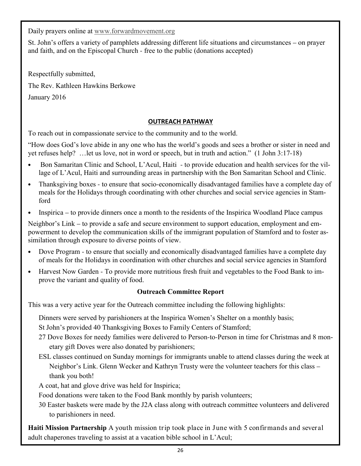Daily prayers online at www.forwardmovement.org

St. John's offers a variety of pamphlets addressing different life situations and circumstances – on prayer and faith, and on the Episcopal Church - free to the public (donations accepted)

Respectfully submitted, The Rev. Kathleen Hawkins Berkowe January 2016

#### OUTREACH PATHWAY

To reach out in compassionate service to the community and to the world.

"How does God's love abide in any one who has the world's goods and sees a brother or sister in need and yet refuses help? …let us love, not in word or speech, but in truth and action." (1 John 3:17-18)

- Bon Samaritan Clinic and School, L'Acul, Haiti to provide education and health services for the village of L'Acul, Haiti and surrounding areas in partnership with the Bon Samaritan School and Clinic.
- Thanksgiving boxes to ensure that socio-economically disadvantaged families have a complete day of meals for the Holidays through coordinating with other churches and social service agencies in Stamford
- Inspirica to provide dinners once a month to the residents of the Inspirica Woodland Place campus

Neighbor's Link – to provide a safe and secure environment to support education, employment and empowerment to develop the communication skills of the immigrant population of Stamford and to foster assimilation through exposure to diverse points of view.

- Dove Program to ensure that socially and economically disadvantaged families have a complete day of meals for the Holidays in coordination with other churches and social service agencies in Stamford
- Harvest Now Garden To provide more nutritious fresh fruit and vegetables to the Food Bank to improve the variant and quality of food.

#### Outreach Committee Report

This was a very active year for the Outreach committee including the following highlights:

Dinners were served by parishioners at the Inspirica Women's Shelter on a monthly basis;

St John's provided 40 Thanksgiving Boxes to Family Centers of Stamford;

- 27 Dove Boxes for needy families were delivered to Person-to-Person in time for Christmas and 8 monetary gift Doves were also donated by parishioners;
- ESL classes continued on Sunday mornings for immigrants unable to attend classes during the week at Neighbor's Link. Glenn Wecker and Kathryn Trusty were the volunteer teachers for this class – thank you both!

A coat, hat and glove drive was held for Inspirica;

Food donations were taken to the Food Bank monthly by parish volunteers;

30 Easter baskets were made by the J2A class along with outreach committee volunteers and delivered to parishioners in need.

Haiti Mission Partnership A youth mission trip took place in June with 5 confirmands and several adult chaperones traveling to assist at a vacation bible school in L'Acul;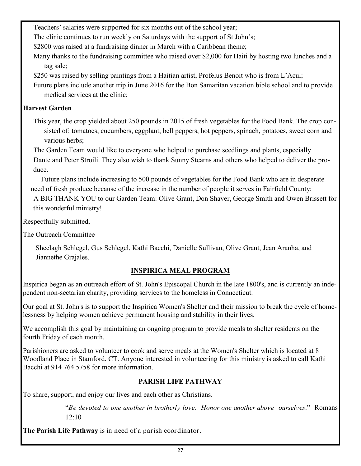Teachers' salaries were supported for six months out of the school year;

The clinic continues to run weekly on Saturdays with the support of St John's;

\$2800 was raised at a fundraising dinner in March with a Caribbean theme;

Many thanks to the fundraising committee who raised over \$2,000 for Haiti by hosting two lunches and a tag sale;

\$250 was raised by selling paintings from a Haitian artist, Profelus Benoit who is from L'Acul;

Future plans include another trip in June 2016 for the Bon Samaritan vacation bible school and to provide medical services at the clinic;

#### Harvest Garden

This year, the crop yielded about 250 pounds in 2015 of fresh vegetables for the Food Bank. The crop consisted of: tomatoes, cucumbers, eggplant, bell peppers, hot peppers, spinach, potatoes, sweet corn and various herbs;

The Garden Team would like to everyone who helped to purchase seedlings and plants, especially Dante and Peter Stroili. They also wish to thank Sunny Stearns and others who helped to deliver the produce.

Future plans include increasing to 500 pounds of vegetables for the Food Bank who are in desperate need of fresh produce because of the increase in the number of people it serves in Fairfield County;

A BIG THANK YOU to our Garden Team: Olive Grant, Don Shaver, George Smith and Owen Brissett for this wonderful ministry!

Respectfully submitted,

The Outreach Committee

Sheelagh Schlegel, Gus Schlegel, Kathi Bacchi, Danielle Sullivan, Olive Grant, Jean Aranha, and Jiannethe Grajales.

## INSPIRICA MEAL PROGRAM

Inspirica began as an outreach effort of St. John's Episcopal Church in the late 1800's, and is currently an independent non-sectarian charity, providing services to the homeless in Connecticut.

Our goal at St. John's is to support the Inspirica Women's Shelter and their mission to break the cycle of homelessness by helping women achieve permanent housing and stability in their lives.

We accomplish this goal by maintaining an ongoing program to provide meals to shelter residents on the fourth Friday of each month.

Parishioners are asked to volunteer to cook and serve meals at the Women's Shelter which is located at 8 Woodland Place in Stamford, CT. Anyone interested in volunteering for this ministry is asked to call Kathi Bacchi at 914 764 5758 for more information.

## PARISH LIFE PATHWAY

To share, support, and enjoy our lives and each other as Christians.

"Be devoted to one another in brotherly love. Honor one another above ourselves." Romans 12:10

The Parish Life Pathway is in need of a parish coordinator.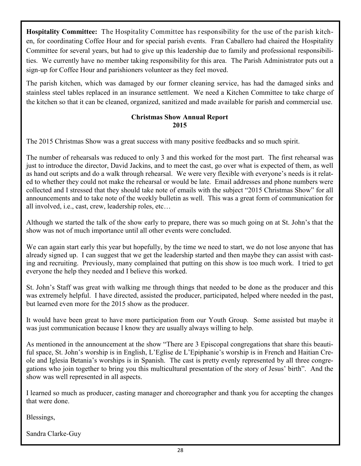Hospitality Committee: The Hospitality Committee has responsibility for the use of the parish kitchen, for coordinating Coffee Hour and for special parish events. Fran Caballero had chaired the Hospitality Committee for several years, but had to give up this leadership due to family and professional responsibilities. We currently have no member taking responsibility for this area. The Parish Administrator puts out a sign-up for Coffee Hour and parishioners volunteer as they feel moved.

The parish kitchen, which was damaged by our former cleaning service, has had the damaged sinks and stainless steel tables replaced in an insurance settlement. We need a Kitchen Committee to take charge of the kitchen so that it can be cleaned, organized, sanitized and made available for parish and commercial use.

#### Christmas Show Annual Report 2015

The 2015 Christmas Show was a great success with many positive feedbacks and so much spirit.

The number of rehearsals was reduced to only 3 and this worked for the most part. The first rehearsal was just to introduce the director, David Jackins, and to meet the cast, go over what is expected of them, as well as hand out scripts and do a walk through rehearsal. We were very flexible with everyone's needs is it related to whether they could not make the rehearsal or would be late. Email addresses and phone numbers were collected and I stressed that they should take note of emails with the subject "2015 Christmas Show" for all announcements and to take note of the weekly bulletin as well. This was a great form of communication for all involved, i.e., cast, crew, leadership roles, etc…

Although we started the talk of the show early to prepare, there was so much going on at St. John's that the show was not of much importance until all other events were concluded.

We can again start early this year but hopefully, by the time we need to start, we do not lose anyone that has already signed up. I can suggest that we get the leadership started and then maybe they can assist with casting and recruiting. Previously, many complained that putting on this show is too much work. I tried to get everyone the help they needed and I believe this worked.

St. John's Staff was great with walking me through things that needed to be done as the producer and this was extremely helpful. I have directed, assisted the producer, participated, helped where needed in the past, but learned even more for the 2015 show as the producer.

It would have been great to have more participation from our Youth Group. Some assisted but maybe it was just communication because I know they are usually always willing to help.

As mentioned in the announcement at the show "There are 3 Episcopal congregations that share this beautiful space, St. John's worship is in English, L'Eglise de L'Epiphanie's worship is in French and Haitian Creole and Iglesia Betania's worships is in Spanish. The cast is pretty evenly represented by all three congregations who join together to bring you this multicultural presentation of the story of Jesus' birth". And the show was well represented in all aspects.

I learned so much as producer, casting manager and choreographer and thank you for accepting the changes that were done.

Blessings,

Sandra Clarke-Guy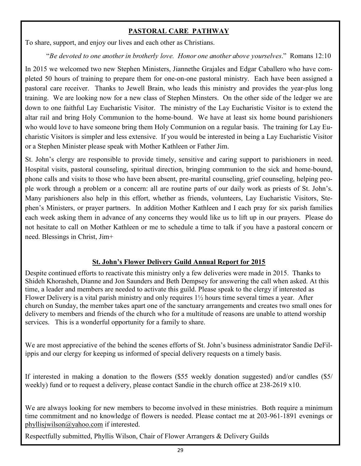#### PASTORAL CARE PATHWAY

To share, support, and enjoy our lives and each other as Christians.

"Be devoted to one another in brotherly love. Honor one another above yourselves." Romans 12:10

In 2015 we welcomed two new Stephen Ministers, Jiannethe Grajales and Edgar Caballero who have completed 50 hours of training to prepare them for one-on-one pastoral ministry. Each have been assigned a pastoral care receiver. Thanks to Jewell Brain, who leads this ministry and provides the year-plus long training. We are looking now for a new class of Stephen Minsters. On the other side of the ledger we are down to one faithful Lay Eucharistic Visitor. The ministry of the Lay Eucharistic Visitor is to extend the altar rail and bring Holy Communion to the home-bound. We have at least six home bound parishioners who would love to have someone bring them Holy Communion on a regular basis. The training for Lay Eucharistic Visitors is simpler and less extensive. If you would be interested in being a Lay Eucharistic Visitor or a Stephen Minister please speak with Mother Kathleen or Father Jim.

St. John's clergy are responsible to provide timely, sensitive and caring support to parishioners in need. Hospital visits, pastoral counseling, spiritual direction, bringing communion to the sick and home-bound, phone calls and visits to those who have been absent, pre-marital counseling, grief counseling, helping people work through a problem or a concern: all are routine parts of our daily work as priests of St. John's. Many parishioners also help in this effort, whether as friends, volunteers, Lay Eucharistic Visitors, Stephen's Ministers, or prayer partners. In addition Mother Kathleen and I each pray for six parish families each week asking them in advance of any concerns they would like us to lift up in our prayers. Please do not hesitate to call on Mother Kathleen or me to schedule a time to talk if you have a pastoral concern or need. Blessings in Christ, Jim+

#### St. John's Flower Delivery Guild Annual Report for 2015

Despite continued efforts to reactivate this ministry only a few deliveries were made in 2015. Thanks to Shideh Khorasheh, Dianne and Jon Saunders and Beth Dempsey for answering the call when asked. At this time, a leader and members are needed to activate this guild. Please speak to the clergy if interested as Flower Delivery is a vital parish ministry and only requires 1½ hours time several times a year. After church on Sunday, the member takes apart one of the sanctuary arrangements and creates two small ones for delivery to members and friends of the church who for a multitude of reasons are unable to attend worship services. This is a wonderful opportunity for a family to share.

We are most appreciative of the behind the scenes efforts of St. John's business administrator Sandie DeFilippis and our clergy for keeping us informed of special delivery requests on a timely basis.

If interested in making a donation to the flowers (\$55 weekly donation suggested) and/or candles (\$5/ weekly) fund or to request a delivery, please contact Sandie in the church office at 238-2619 x10.

We are always looking for new members to become involved in these ministries. Both require a minimum time commitment and no knowledge of flowers is needed. Please contact me at 203-961-1891 evenings or phyllisjwilson@yahoo.com if interested.

Respectfully submitted, Phyllis Wilson, Chair of Flower Arrangers & Delivery Guilds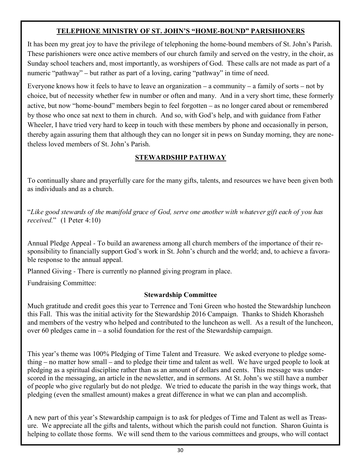#### TELEPHONE MINISTRY OF ST. JOHN'S "HOME**-**BOUND" PARISHIONERS

It has been my great joy to have the privilege of telephoning the home-bound members of St. John's Parish. These parishioners were once active members of our church family and served on the vestry, in the choir, as Sunday school teachers and, most importantly, as worshipers of God. These calls are not made as part of a numeric "pathway" – but rather as part of a loving, caring "pathway" in time of need.

Everyone knows how it feels to have to leave an organization – a community – a family of sorts – not by choice, but of necessity whether few in number or often and many. And in a very short time, these formerly active, but now "home-bound" members begin to feel forgotten – as no longer cared about or remembered by those who once sat next to them in church. And so, with God's help, and with guidance from Father Wheeler, I have tried very hard to keep in touch with these members by phone and occasionally in person, thereby again assuring them that although they can no longer sit in pews on Sunday morning, they are nonetheless loved members of St. John's Parish.

#### STEWARDSHIP PATHWAY

To continually share and prayerfully care for the many gifts, talents, and resources we have been given both as individuals and as a church.

"Like good stewards of the manifold grace of God, serve one another with whatever gift each of you has received." (1 Peter 4:10)

Annual Pledge Appeal - To build an awareness among all church members of the importance of their responsibility to financially support God's work in St. John's church and the world; and, to achieve a favorable response to the annual appeal.

Planned Giving - There is currently no planned giving program in place.

Fundraising Committee:

#### Stewardship Committee

Much gratitude and credit goes this year to Terrence and Toni Green who hosted the Stewardship luncheon this Fall. This was the initial activity for the Stewardship 2016 Campaign. Thanks to Shideh Khorasheh and members of the vestry who helped and contributed to the luncheon as well. As a result of the luncheon, over 60 pledges came in – a solid foundation for the rest of the Stewardship campaign.

This year's theme was 100% Pledging of Time Talent and Treasure. We asked everyone to pledge something – no matter how small – and to pledge their time and talent as well. We have urged people to look at pledging as a spiritual discipline rather than as an amount of dollars and cents. This message was underscored in the messaging, an article in the newsletter, and in sermons. At St. John's we still have a number of people who give regularly but do not pledge. We tried to educate the parish in the way things work, that pledging (even the smallest amount) makes a great difference in what we can plan and accomplish.

A new part of this year's Stewardship campaign is to ask for pledges of Time and Talent as well as Treasure. We appreciate all the gifts and talents, without which the parish could not function. Sharon Guinta is helping to collate those forms. We will send them to the various committees and groups, who will contact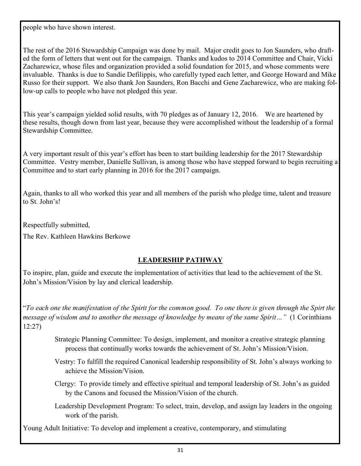people who have shown interest.

The rest of the 2016 Stewardship Campaign was done by mail. Major credit goes to Jon Saunders, who drafted the form of letters that went out for the campaign. Thanks and kudos to 2014 Committee and Chair, Vicki Zacharewicz, whose files and organization provided a solid foundation for 2015, and whose comments were invaluable. Thanks is due to Sandie Defilippis, who carefully typed each letter, and George Howard and Mike Russo for their support. We also thank Jon Saunders, Ron Bacchi and Gene Zacharewicz, who are making follow-up calls to people who have not pledged this year.

This year's campaign yielded solid results, with 70 pledges as of January 12, 2016. We are heartened by these results, though down from last year, because they were accomplished without the leadership of a formal Stewardship Committee.

A very important result of this year's effort has been to start building leadership for the 2017 Stewardship Committee. Vestry member, Danielle Sullivan, is among those who have stepped forward to begin recruiting a Committee and to start early planning in 2016 for the 2017 campaign.

Again, thanks to all who worked this year and all members of the parish who pledge time, talent and treasure to St. John's!

Respectfully submitted,

The Rev. Kathleen Hawkins Berkowe

#### LEADERSHIP PATHWAY

To inspire, plan, guide and execute the implementation of activities that lead to the achievement of the St. John's Mission/Vision by lay and clerical leadership.

"To each one the manifestation of the Spirit for the common good. To one there is given through the Spirt the message of wisdom and to another the message of knowledge by means of the same Spirit…" (1 Corinthians 12:27)

> Strategic Planning Committee: To design, implement, and monitor a creative strategic planning process that continually works towards the achievement of St. John's Mission/Vision.

Vestry: To fulfill the required Canonical leadership responsibility of St. John's always working to achieve the Mission/Vision.

Clergy: To provide timely and effective spiritual and temporal leadership of St. John's as guided by the Canons and focused the Mission/Vision of the church.

Leadership Development Program: To select, train, develop, and assign lay leaders in the ongoing work of the parish.

Young Adult Initiative: To develop and implement a creative, contemporary, and stimulating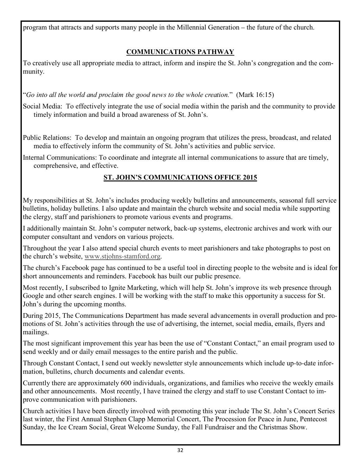program that attracts and supports many people in the Millennial Generation – the future of the church.

## COMMUNICATIONS PATHWAY

To creatively use all appropriate media to attract, inform and inspire the St. John's congregation and the community.

"Go into all the world and proclaim the good news to the whole creation." (Mark 16:15)

Social Media: To effectively integrate the use of social media within the parish and the community to provide timely information and build a broad awareness of St. John's.

Public Relations: To develop and maintain an ongoing program that utilizes the press, broadcast, and related media to effectively inform the community of St. John's activities and public service.

Internal Communications: To coordinate and integrate all internal communications to assure that are timely, comprehensive, and effective.

# ST. JOHN'S COMMUNICATIONS OFFICE 2015

My responsibilities at St. John's includes producing weekly bulletins and announcements, seasonal full service bulletins, holiday bulletins. I also update and maintain the church website and social media while supporting the clergy, staff and parishioners to promote various events and programs.

I additionally maintain St. John's computer network, back-up systems, electronic archives and work with our computer consultant and vendors on various projects.

Throughout the year I also attend special church events to meet parishioners and take photographs to post on the church's website, www.stjohns-stamford.org.

The church's Facebook page has continued to be a useful tool in directing people to the website and is ideal for short announcements and reminders. Facebook has built our public presence.

Most recently, I subscribed to Ignite Marketing, which will help St. John's improve its web presence through Google and other search engines. I will be working with the staff to make this opportunity a success for St. John's during the upcoming months.

During 2015, The Communications Department has made several advancements in overall production and promotions of St. John's activities through the use of advertising, the internet, social media, emails, flyers and mailings.

The most significant improvement this year has been the use of "Constant Contact," an email program used to send weekly and or daily email messages to the entire parish and the public.

Through Constant Contact, I send out weekly newsletter style announcements which include up-to-date information, bulletins, church documents and calendar events.

Currently there are approximately 600 individuals, organizations, and families who receive the weekly emails and other announcements. Most recently, I have trained the clergy and staff to use Constant Contact to improve communication with parishioners.

Church activities I have been directly involved with promoting this year include The St. John's Concert Series last winter, the First Annual Stephen Clapp Memorial Concert, The Procession for Peace in June, Pentecost Sunday, the Ice Cream Social, Great Welcome Sunday, the Fall Fundraiser and the Christmas Show.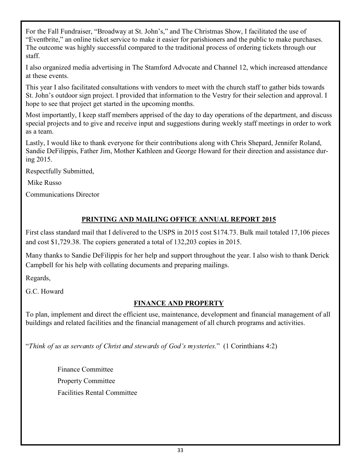For the Fall Fundraiser, "Broadway at St. John's," and The Christmas Show, I facilitated the use of "Eventbrite," an online ticket service to make it easier for parishioners and the public to make purchases. The outcome was highly successful compared to the traditional process of ordering tickets through our staff.

I also organized media advertising in The Stamford Advocate and Channel 12, which increased attendance at these events.

This year I also facilitated consultations with vendors to meet with the church staff to gather bids towards St. John's outdoor sign project. I provided that information to the Vestry for their selection and approval. I hope to see that project get started in the upcoming months.

Most importantly, I keep staff members apprised of the day to day operations of the department, and discuss special projects and to give and receive input and suggestions during weekly staff meetings in order to work as a team.

Lastly, I would like to thank everyone for their contributions along with Chris Shepard, Jennifer Roland, Sandie DeFilippis, Father Jim, Mother Kathleen and George Howard for their direction and assistance during 2015.

Respectfully Submitted,

Mike Russo

Communications Director

#### PRINTING AND MAILING OFFICE ANNUAL REPORT 2015

First class standard mail that I delivered to the USPS in 2015 cost \$174.73. Bulk mail totaled 17,106 pieces and cost \$1,729.38. The copiers generated a total of 132,203 copies in 2015.

Many thanks to Sandie DeFilippis for her help and support throughout the year. I also wish to thank Derick Campbell for his help with collating documents and preparing mailings.

Regards,

G.C. Howard

#### FINANCE AND PROPERTY

To plan, implement and direct the efficient use, maintenance, development and financial management of all buildings and related facilities and the financial management of all church programs and activities.

"Think of us as servants of Christ and stewards of God's mysteries." (1 Corinthians 4:2)

Finance Committee Property Committee Facilities Rental Committee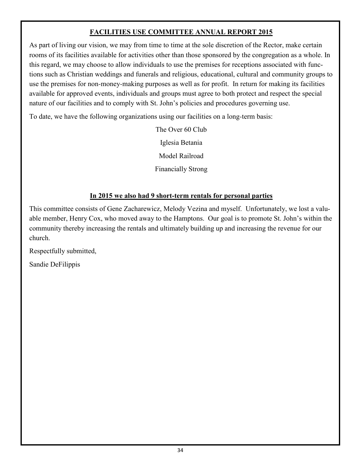#### FACILITIES USE COMMITTEE ANNUAL REPORT 2015

As part of living our vision, we may from time to time at the sole discretion of the Rector, make certain rooms of its facilities available for activities other than those sponsored by the congregation as a whole. In this regard, we may choose to allow individuals to use the premises for receptions associated with functions such as Christian weddings and funerals and religious, educational, cultural and community groups to use the premises for non-money-making purposes as well as for profit. In return for making its facilities available for approved events, individuals and groups must agree to both protect and respect the special nature of our facilities and to comply with St. John's policies and procedures governing use.

To date, we have the following organizations using our facilities on a long-term basis:

The Over 60 Club Iglesia Betania Model Railroad Financially Strong

#### In 2015 we also had 9 short**-**term rentals for personal parties

This committee consists of Gene Zacharewicz, Melody Vezina and myself. Unfortunately, we lost a valuable member, Henry Cox, who moved away to the Hamptons. Our goal is to promote St. John's within the community thereby increasing the rentals and ultimately building up and increasing the revenue for our church.

Respectfully submitted,

Sandie DeFilippis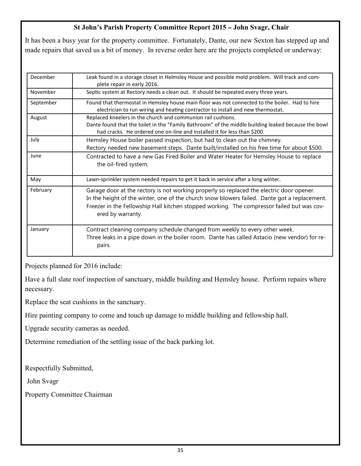#### St John's Parish Property Committee Report 2015 **–** John Svagr, Chair

It has been a busy year for the property committee. Fortunately, Dante, our new Sexton has stepped up and made repairs that saved us a bit of money. In reverse order here are the projects completed or underway:

| December  | Leak found in a storage closet in Helmsley House and possible mold problem. Will track and com-<br>plete repair in early 2016.                                                                                                                                                                              |
|-----------|-------------------------------------------------------------------------------------------------------------------------------------------------------------------------------------------------------------------------------------------------------------------------------------------------------------|
| November  | Septic system at Rectory needs a clean out. It should be repeated every three years.                                                                                                                                                                                                                        |
| September | Found that thermostat in Hemsley house main floor was not connected to the boiler. Had to hire<br>electrician to run wiring and heating contractor to install and new thermostat.                                                                                                                           |
| August    | Replaced kneelers in the church and communion rail cushions.<br>Dante found that the toilet in the "Family Bathroom" of the middle building leaked because the bowl<br>had cracks. He ordered one on-line and installed it for less than \$200.                                                             |
| July      | Hemsley House boiler passed inspection, but had to clean out the chimney.<br>Rectory needed new basement steps. Dante built/installed on his free time for about \$500.                                                                                                                                     |
| June      | Contracted to have a new Gas Fired Boiler and Water Heater for Hemsley House to replace<br>the oil-fired system.                                                                                                                                                                                            |
| May       | Lawn-sprinkler system needed repairs to get it back in service after a long winter.                                                                                                                                                                                                                         |
| February  | Garage door at the rectory is not working properly so replaced the electric door opener.<br>In the height of the winter, one of the church snow blowers failed. Dante got a replacement.<br>Freezer in the Fellowship Hall kitchen stopped working. The compressor failed but was cov-<br>ered by warranty. |
| January   | Contract cleaning company schedule changed from weekly to every other week.<br>Three leaks in a pipe down in the boiler room. Dante has called Astacio (new vendor) for re-<br>pairs.                                                                                                                       |

Projects planned for 2016 include:

Have a full slate roof inspection of sanctuary, middle building and Hemsley house. Perform repairs where necessary.

Replace the seat cushions in the sanctuary.

Hire painting company to come and touch up damage to middle building and fellowship hall.

Upgrade security cameras as needed.

Determine remediation of the settling issue of the back parking lot.

Respectfully Submitted,

John Svagr

Property Committee Chairman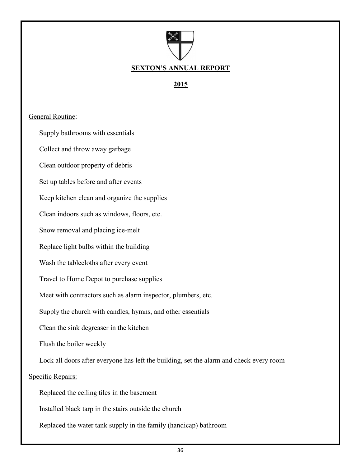

2015

#### General Routine:

Supply bathrooms with essentials

Collect and throw away garbage

Clean outdoor property of debris

Set up tables before and after events

Keep kitchen clean and organize the supplies

Clean indoors such as windows, floors, etc.

Snow removal and placing ice-melt

Replace light bulbs within the building

Wash the tablecloths after every event

Travel to Home Depot to purchase supplies

Meet with contractors such as alarm inspector, plumbers, etc.

Supply the church with candles, hymns, and other essentials

Clean the sink degreaser in the kitchen

Flush the boiler weekly

Lock all doors after everyone has left the building, set the alarm and check every room Specific Repairs:

Replaced the ceiling tiles in the basement

Installed black tarp in the stairs outside the church

Replaced the water tank supply in the family (handicap) bathroom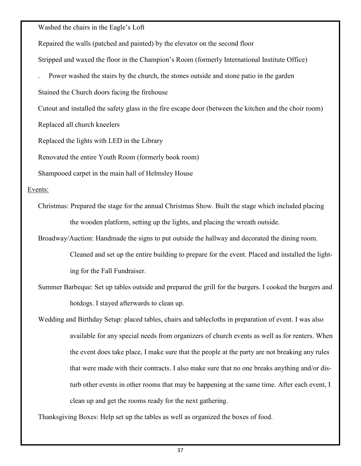Washed the chairs in the Eagle's Loft

Repaired the walls (patched and painted) by the elevator on the second floor

Stripped and waxed the floor in the Champion's Room (formerly International Institute Office)

. Power washed the stairs by the church, the stones outside and stone patio in the garden

Stained the Church doors facing the firehouse

Cutout and installed the safety glass in the fire escape door (between the kitchen and the choir room)

Replaced all church kneelers

Replaced the lights with LED in the Library

Renovated the entire Youth Room (formerly book room)

Shampooed carpet in the main hall of Helmsley House

#### Events:

Christmas: Prepared the stage for the annual Christmas Show. Built the stage which included placing the wooden platform, setting up the lights, and placing the wreath outside.

Broadway/Auction: Handmade the signs to put outside the hallway and decorated the dining room.

Cleaned and set up the entire building to prepare for the event. Placed and installed the lighting for the Fall Fundraiser.

Summer Barbeque: Set up tables outside and prepared the grill for the burgers. I cooked the burgers and hotdogs. I stayed afterwards to clean up.

Wedding and Birthday Setup: placed tables, chairs and tablecloths in preparation of event. I was also available for any special needs from organizers of church events as well as for renters. When the event does take place, I make sure that the people at the party are not breaking any rules that were made with their contracts. I also make sure that no one breaks anything and/or disturb other events in other rooms that may be happening at the same time. After each event, I clean up and get the rooms ready for the next gathering.

Thanksgiving Boxes: Help set up the tables as well as organized the boxes of food.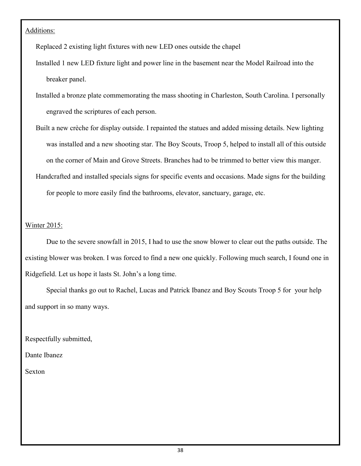#### Additions:

Replaced 2 existing light fixtures with new LED ones outside the chapel

Installed 1 new LED fixture light and power line in the basement near the Model Railroad into the breaker panel.

- Installed a bronze plate commemorating the mass shooting in Charleston, South Carolina. I personally engraved the scriptures of each person.
- Built a new crèche for display outside. I repainted the statues and added missing details. New lighting was installed and a new shooting star. The Boy Scouts, Troop 5, helped to install all of this outside on the corner of Main and Grove Streets. Branches had to be trimmed to better view this manger.
- Handcrafted and installed specials signs for specific events and occasions. Made signs for the building for people to more easily find the bathrooms, elevator, sanctuary, garage, etc.

#### Winter 2015:

Due to the severe snowfall in 2015, I had to use the snow blower to clear out the paths outside. The existing blower was broken. I was forced to find a new one quickly. Following much search, I found one in Ridgefield. Let us hope it lasts St. John's a long time.

Special thanks go out to Rachel, Lucas and Patrick Ibanez and Boy Scouts Troop 5 for your help and support in so many ways.

Respectfully submitted,

Dante Ibanez

Sexton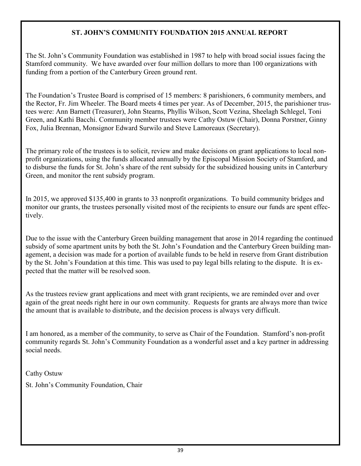#### ST. JOHN'S COMMUNITY FOUNDATION 2015 ANNUAL REPORT

The St. John's Community Foundation was established in 1987 to help with broad social issues facing the Stamford community. We have awarded over four million dollars to more than 100 organizations with funding from a portion of the Canterbury Green ground rent.

The Foundation's Trustee Board is comprised of 15 members: 8 parishioners, 6 community members, and the Rector, Fr. Jim Wheeler. The Board meets 4 times per year. As of December, 2015, the parishioner trustees were: Ann Barnett (Treasurer), John Stearns, Phyllis Wilson, Scott Vezina, Sheelagh Schlegel, Toni Green, and Kathi Bacchi. Community member trustees were Cathy Ostuw (Chair), Donna Porstner, Ginny Fox, Julia Brennan, Monsignor Edward Surwilo and Steve Lamoreaux (Secretary).

The primary role of the trustees is to solicit, review and make decisions on grant applications to local nonprofit organizations, using the funds allocated annually by the Episcopal Mission Society of Stamford, and to disburse the funds for St. John's share of the rent subsidy for the subsidized housing units in Canterbury Green, and monitor the rent subsidy program.

In 2015, we approved \$135,400 in grants to 33 nonprofit organizations. To build community bridges and monitor our grants, the trustees personally visited most of the recipients to ensure our funds are spent effectively.

Due to the issue with the Canterbury Green building management that arose in 2014 regarding the continued subsidy of some apartment units by both the St. John's Foundation and the Canterbury Green building management, a decision was made for a portion of available funds to be held in reserve from Grant distribution by the St. John's Foundation at this time. This was used to pay legal bills relating to the dispute. It is expected that the matter will be resolved soon.

As the trustees review grant applications and meet with grant recipients, we are reminded over and over again of the great needs right here in our own community. Requests for grants are always more than twice the amount that is available to distribute, and the decision process is always very difficult.

I am honored, as a member of the community, to serve as Chair of the Foundation. Stamford's non-profit community regards St. John's Community Foundation as a wonderful asset and a key partner in addressing social needs.

Cathy Ostuw

St. John's Community Foundation, Chair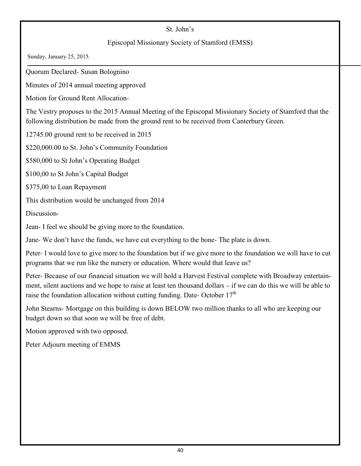#### St. John's

#### Episcopal Missionary Society of Stamford (EMSS)

Sunday, January 25, 2015.

Quorum Declared- Susan Bolognino

Minutes of 2014 annual meeting approved

Motion for Ground Rent Allocation-

The Vestry proposes to the 2015 Annual Meeting of the Episcopal Missionary Society of Stamford that the following distribution be made from the ground rent to be received from Canterbury Green.

12745.00 ground rent to be received in 2015

\$220,000.00 to St. John's Community Foundation

\$580,000 to St John's Operating Budget

\$100,00 to St John's Capital Budget

\$375,00 to Loan Repayment

This distribution would be unchanged from 2014

Discussion-

Jean- I feel we should be giving more to the foundation.

Jane- We don't have the funds, we have cut everything to the bone- The plate is down.

Peter- I would love to give more to the foundation but if we give more to the foundation we will have to cut programs that we run like the nursery or education. Where would that leave us?

Peter- Because of our financial situation we will hold a Harvest Festival complete with Broadway entertainment, silent auctions and we hope to raise at least ten thousand dollars – if we can do this we will be able to raise the foundation allocation without cutting funding. Date- October  $17<sup>th</sup>$ 

John Stearns- Mortgage on this building is down BELOW two million thanks to all who are keeping our budget down so that soon we will be free of debt.

Motion approved with two opposed.

Peter Adjourn meeting of EMMS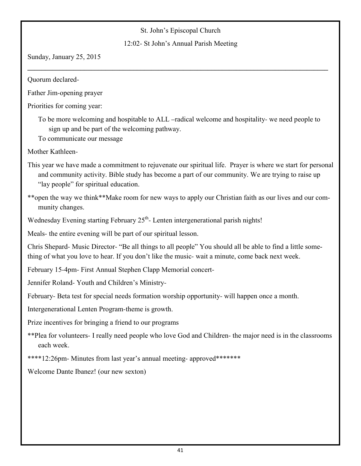#### St. John's Episcopal Church

#### 12:02- St John's Annual Parish Meeting

 $\_$  , and the set of the set of the set of the set of the set of the set of the set of the set of the set of the set of the set of the set of the set of the set of the set of the set of the set of the set of the set of th

Sunday, January 25, 2015

Quorum declared-

Father Jim-opening prayer

Priorities for coming year:

To be more welcoming and hospitable to ALL –radical welcome and hospitality- we need people to sign up and be part of the welcoming pathway.

To communicate our message

Mother Kathleen-

This year we have made a commitment to rejuvenate our spiritual life. Prayer is where we start for personal and community activity. Bible study has become a part of our community. We are trying to raise up "lay people" for spiritual education.

\*\*open the way we think\*\*Make room for new ways to apply our Christian faith as our lives and our community changes.

Wednesday Evening starting February 25<sup>th</sup>- Lenten intergenerational parish nights!

Meals- the entire evening will be part of our spiritual lesson.

Chris Shepard- Music Director- "Be all things to all people" You should all be able to find a little something of what you love to hear. If you don't like the music- wait a minute, come back next week.

February 15-4pm- First Annual Stephen Clapp Memorial concert-

Jennifer Roland- Youth and Children's Ministry-

February- Beta test for special needs formation worship opportunity- will happen once a month.

Intergenerational Lenten Program-theme is growth.

Prize incentives for bringing a friend to our programs

\*\*Plea for volunteers- I really need people who love God and Children- the major need is in the classrooms each week.

\*\*\*\*12:26pm- Minutes from last year's annual meeting- approved\*\*\*\*\*\*\*

Welcome Dante Ibanez! (our new sexton)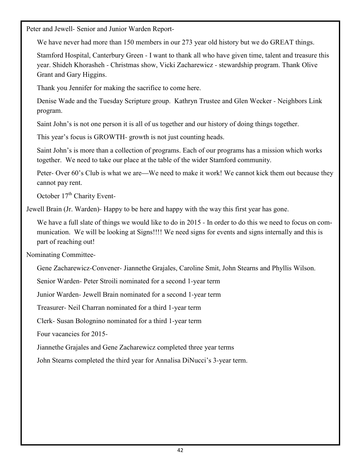Peter and Jewell- Senior and Junior Warden Report-

We have never had more than 150 members in our 273 year old history but we do GREAT things.

Stamford Hospital, Canterbury Green - I want to thank all who have given time, talent and treasure this year. Shideh Khorasheh - Christmas show, Vicki Zacharewicz - stewardship program. Thank Olive Grant and Gary Higgins.

Thank you Jennifer for making the sacrifice to come here.

Denise Wade and the Tuesday Scripture group. Kathryn Trustee and Glen Wecker - Neighbors Link program.

Saint John's is not one person it is all of us together and our history of doing things together.

This year's focus is GROWTH- growth is not just counting heads.

Saint John's is more than a collection of programs. Each of our programs has a mission which works together. We need to take our place at the table of the wider Stamford community.

Peter- Over 60's Club is what we are—We need to make it work! We cannot kick them out because they cannot pay rent.

October 17<sup>th</sup> Charity Event-

Jewell Brain (Jr. Warden)- Happy to be here and happy with the way this first year has gone.

We have a full slate of things we would like to do in 2015 - In order to do this we need to focus on communication. We will be looking at Signs!!!! We need signs for events and signs internally and this is part of reaching out!

Nominating Committee-

Gene Zacharewicz-Convener- Jiannethe Grajales, Caroline Smit, John Stearns and Phyllis Wilson.

Senior Warden- Peter Stroili nominated for a second 1-year term

Junior Warden- Jewell Brain nominated for a second 1-year term

Treasurer- Neil Charran nominated for a third 1-year term

Clerk- Susan Bolognino nominated for a third 1-year term

Four vacancies for 2015-

Jiannethe Grajales and Gene Zacharewicz completed three year terms

John Stearns completed the third year for Annalisa DiNucci's 3-year term.